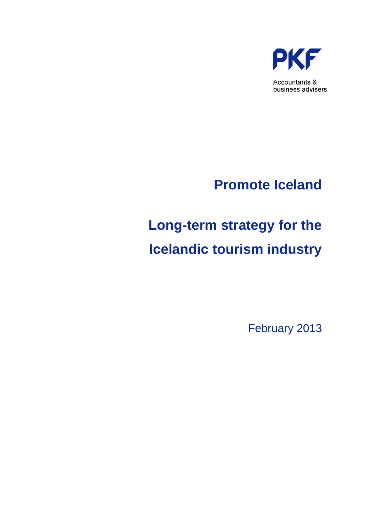

# **Long-term strategy for the Icelandic tourism industry**

February 2013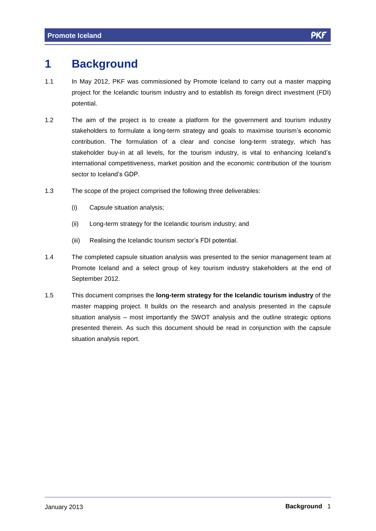# **1 Background**

- 1.1 In May 2012, PKF was commissioned by Promote Iceland to carry out a master mapping project for the Icelandic tourism industry and to establish its foreign direct investment (FDI) potential.
- 1.2 The aim of the project is to create a platform for the government and tourism industry The aim of the project is to create a platform for the government and tourism industry<br>stakeholders to formulate a long-term strategy and goals to maximise tourism's economic contribution. The formulation of a clear and concise long-term strategy, which has stakeholders to formulate a long-term strategy and goals to maximise tourism's economic<br>contribution. The formulation of a clear and concise long-term strategy, which has<br>stakeholder buy-in at all levels, for the tourism i international competitiveness, market position and the economic contribution of the tourism Sector to Iceland's GDP.<br>Sector to Iceland's GDP.
- 1.3 The scope of the project comprised the following three deliverables:
	- (i) Capsule situation analysis;
	-
	- (ii) Long-term strategy for the Icelandic tourism industry; and<br>(iii) Realising the Icelandic tourism sector's FDI potential.
- 1.4 The completed capsule situation analysis was presented to the senior management team at Promote Iceland and a select group of key tourism industry stakeholders at the end of September 2012.
- 1.5 This document comprises the **long-term strategy for the Icelandic tourism industry** of the master mapping project. It builds on the research and analysis presented in the capsule situation analysis  $-$  most importantly the SWOT analysis and the outline strategic options presented therein. As such this document should be read in conjunction with the capsule situation analysis report.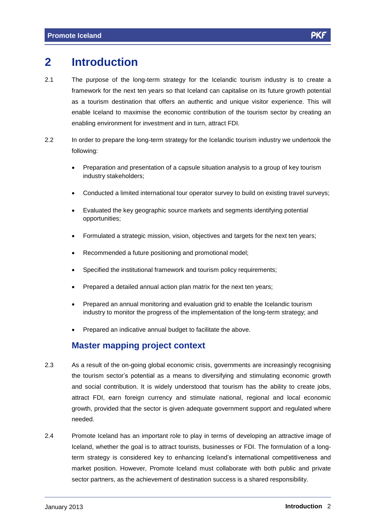## **2 Introduction**

- 2.1 The purpose of the long-term strategy for the Icelandic tourism industry is to create a framework for the next ten years so that Iceland can capitalise on its future growth potential as a tourism destination that offers an authentic and unique visitor experience. This will enable Iceland to maximise the economic contribution of the tourism sector by creating an enabling environment for investment and in turn, attract FDI.
- 2.2 In order to prepare the long-term strategy for the Icelandic tourism industry we undertook the following:
	- Preparation and presentation of a capsule situation analysis to a group of key tourism industry stakeholders;
	- Conducted a limited international tour operator survey to build on existing travel surveys;
	- Evaluated the key geographic source markets and segments identifying potential opportunities;
	- Formulated a strategic mission, vision, objectives and targets for the next ten years;
	- Recommended a future positioning and promotional model;
	- Specified the institutional framework and tourism policy requirements;
	- Prepared a detailed annual action plan matrix for the next ten years;
	- Prepared an annual monitoring and evaluation grid to enable the Icelandic tourism industry to monitor the progress of the implementation of the long-term strategy; and
	- Prepared an indicative annual budget to facilitate the above.

#### **Master mapping project context**

- 2.3 As a result of the on-going global economic crisis, governments are increasingly recognising the tourism sectorís potential as <sup>a</sup> means to diversifying and stimulating economic growth and social contribution. It is widely understood that tourism has the ability to create jobs, attract FDI, earn foreign currency and stimulate national, regional and local economic growth, provided that the sector is given adequate government support and regulated where needed.
- 2.4 Promote Iceland has an important role to play in terms of developing an attractive image of Iceland, whether the goal is to attract tourists, businesses or FDI. The formulation of a longterm strategy is considered key to enhancing Iceland's international competitiveness and market position. However, Promote Iceland must collaborate with both public and private sector partners, as the achievement of destination success is a shared responsibility.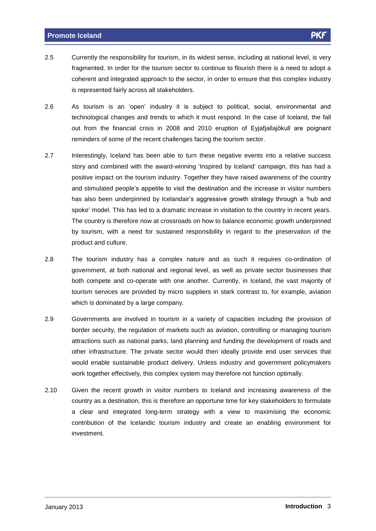- 2.5 Currently the responsibility for tourism, in its widest sense, including at national level, is very fragmented. In order for the tourism sector to continue to flourish there is a need to adopt a coherent and integrated approach to the sector, in order to ensure that this complex industry is represented fairly across all stakeholders.
- 2.6 As tourism is an ëopení industry it is subject to political, social, environmental and technological changes and trends to which it must respond. In the case of Iceland, the fall out from the financial crisis in 2008 and 2010 eruption of Eyjafjallajökull are poignant reminders of some of the recent challenges facing the tourism sector.
- 2.7 Interestingly, Iceland has been able to turn these negative events into a relative success story and combined with the award-winning 'Inspired by Iceland' campaign, this has had a positive impact on the tourism industry. Together they have raised awareness of the country positive impact on the tourism industry. Together they have raised awareness of the country<br>and stimulated people's appetite to visit the destination and the increase in visitor numbers and stimulated people's appetite to visit the destination and the increase in visitor numbers has also been underpinned by Icelandair's aggressive growth strategy through a 'hub and<br>spoke' model. This has led to a dramatic increase in visitation to the country in recent years. The country is therefore now at crossroads on how to balance economic growth underpinned by tourism, with a need for sustained responsibility in regard to the preservation of the product and culture.
- 2.8 The tourism industry has a complex nature and as such it requires co-ordination of government, at both national and regional level, as well as private sector businesses that both compete and co-operate with one another. Currently, in Iceland, the vast majority of tourism services are provided by micro suppliers in stark contrast to, for example, aviation which is dominated by a large company.
- 2.9 Governments are involved in tourism in a variety of capacities including the provision of border security, the regulation of markets such as aviation, controlling or managing tourism attractions such as national parks, land planning and funding the development of roads and other infrastructure. The private sector would then ideally provide end user services that would enable sustainable product delivery. Unless industry and government policymakers work together effectively, this complex system may therefore not function optimally.
- 2.10 Given the recent growth in visitor numbers to Iceland and increasing awareness of the country as a destination, this is therefore an opportune time for key stakeholders to formulate a clear and integrated long-term strategy with a view to maximising the economic contribution of the Icelandic tourism industry and create an enabling environment for investment.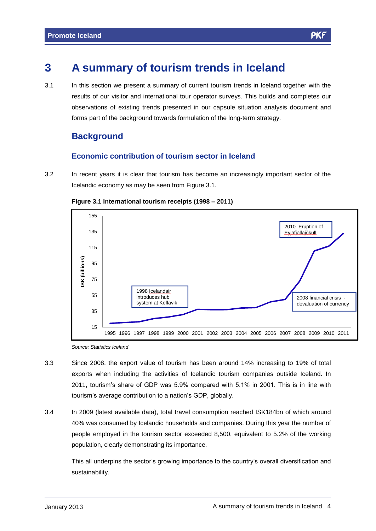## **3 A summary of tourism trends in Iceland**

3.1 In this section we present a summary of current tourism trends in Iceland together with the results of our visitor and international tour operator surveys. This builds and completes our observations of existing trends presented in our capsule situation analysis document and forms part of the background towards formulation of the long-term strategy.

## **Background**

#### **Economic contribution of tourism sector in Iceland**

3.2 In recent years it is clear that tourism has become an increasingly important sector of the Icelandic economy as may be seen from Figure 3.1.



**Figure** 3.1 **International tourism receipts** (1998 – 2011)

Source: Statistics Iceland

- 3.3 Since 2008, the export value of tourism has been around 14% increasing to 19% of total exports when including the activities of Icelandic tourism companies outside Iceland. In exports when including the activities of Icelandic tourism companies outside Iceland. In<br>2011, tourism's share of GDP was 5.9% compared with 5.1% in 2001. This is in line with 2011, tourism's share of GDP was 5.9% compared with 5.1% in 2001. This is in line with tourism's average contribution to a nation's GDP, globally.
- 3.4 In 2009 (latest available data), total travel consumption reached ISK184bn of which around 40% was consumed by Icelandic households and companies. During this year the number of people employed in the tourism sector exceeded 8,500, equivalent to 5.2% of the working population, clearly demonstrating its importance.

This all underpins the sector's growing importance to the country's overall diversification and sustainability.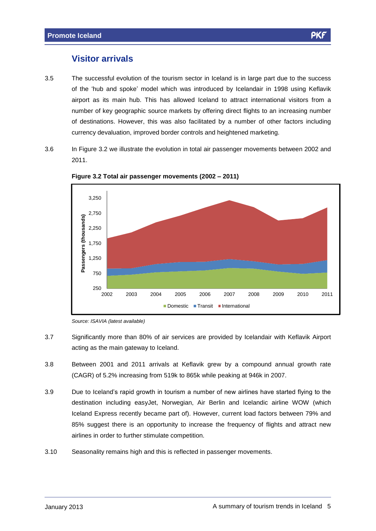### **Visitor arrivals**

- 3.5 The successful evolution of the tourism sector in Iceland is in large part due to the success The successful evolution of the tourism sector in Iceland is in large part due to the success<br>of the 'hub and spoke' model which was introduced by Icelandair in 1998 using Keflavik airport as its main hub. This has allowed Iceland to attract international visitors from a number of key geographic source markets by offering direct flights to an increasing number of destinations. However, this was also facilitated by a number of other factors including currency devaluation, improved border controls and heightened marketing.
- 3.6 In Figure 3.2 we illustrate the evolution in total air passenger movements between 2002 and 2011.



**Figure 3.2 Total air passenger movements (2002 <sup>ñ</sup> 2011)**

- 3.7 Significantly more than 80% of air services are provided by Icelandair with Keflavik Airport acting as the main gateway to Iceland.
- 3.8 Between 2001 and 2011 arrivals at Keflavik grew bya compound annual growth rate (CAGR) of 5.2% increasing from 519k to 865k while peaking at 946k in 2007.
- 3.9 Due to Icelandís rapid growth in tourism <sup>a</sup> number of new airlines have started flying to the destination including easyJet, Norwegian, Air Berlin and Icelandic airline WOW (which Iceland Express recently became part of). However, current load factors between 79% and 85% suggest there is an opportunity to increase the frequency of flights and attract new airlines in order to further stimulate competition.
- 3.10 Seasonality remains high and this is reflected in passenger movements.

Source: ISAVIA (latest available)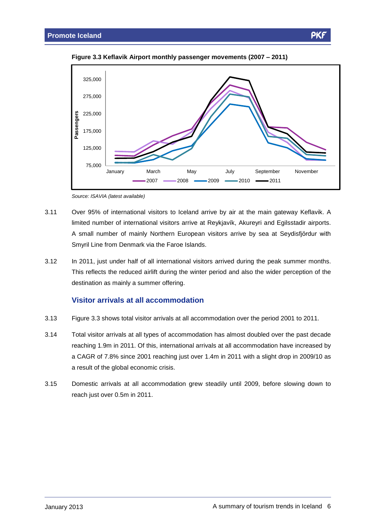

**Figure 3.3 Keflavik Airport monthly passenger movements (2007 <sup>ñ</sup> 2011)**

Source: ISAVIA (latest available)

- 3.11 Over 95% of international visitors to Iceland arrive by air at the main gateway Keflavik. A Over 95% of international visitors to Iceland arrive by air at the main gateway Keflavik. A<br>Iimited number of international visitors arrive at Reykjavík, Akureyri and Egilsstadir airports. limited number of international visitors arrive at Reykjavík, Akureyri and Egilsstadir airports.<br>A small number of mainly Northern European visitors arrive by sea at Seydisfjördur with Smyril Line from Denmark via the Faroe Islands.
- 3.12 In 2011, just under half of all international visitors arrived during the peak summer months. This reflects the reduced airlift during the winter period and also the wider perception of the destination as mainly a summer offering.

#### **Visitor arrivals at all accommodation**

- 3.13 Figure 3.3 shows total visitor arrivals at all accommodation over the period 2001 to 2011.
- 3.14 Total visitor arrivals at all types of accommodation has almost doubled over the past decade reaching 1.9m in 2011. Of this, international arrivals at all accommodation have increased by a CAGR of 7.8% since 2001 reaching just over 1.4m in 2011 with a slight drop in 2009/10 as a result of the global economic crisis.
- 3.15 Domestic arrivals at all accommodation grew steadily until 2009, before slowing down to reach just over 0.5m in 2011.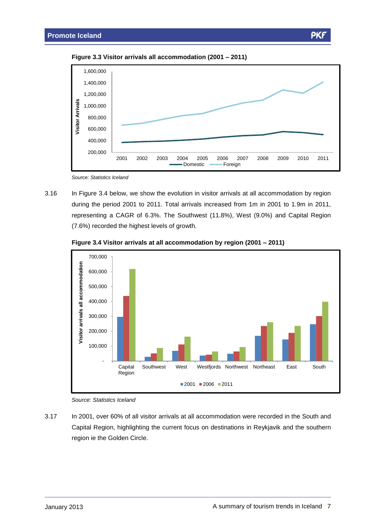PK

**Figure 3.3 Visitor arrivals all accommodation (2001 <sup>ñ</sup> 2011)**



Source: Statistics Iceland

3.16 In Figure 3.4 below, we show the evolution in visitor arrivals at all accommodation by region during the period 2001 to 2011. Total arrivals increased from 1m in 2001 to 1.9m in 2011, representing a CAGR of 6.3%. The Southwest (11.8%), West (9.0%) and Capital Region (7.6%) recorded the highest levels of growth.



**Figure 3.4 Visitor arrivals at all accommodation by region (2001 <sup>ñ</sup> 2011)**

Source: Statistics Iceland

3.17 In 2001, over 60% of all visitor arrivals at all accommodation were recorded in the South and Capital Region, highlighting the current focus on destinations in Reykjavik and the southern region ie the Golden Circle.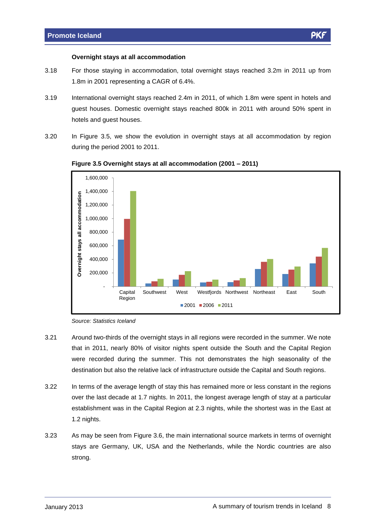#### **Overnight stays at all accommodation**

- 3.18 For those staying in accommodation, total overnight stays reached 3.2m in 2011 up from 1.8m in 2001 representing a CAGR of 6.4%.
- 3.19 International overnight stays reached 2.4m in 2011, of which 1.8m were spent in hotels and guest houses. Domestic overnight stays reached 800k in 2011 with around 50% spent in hotels and guest houses.
- 3.20 In Figure 3.5, we show the evolution in overnight stays at all accommodation by region during the period 2001 to 2011.



#### **Figure 3.5 Overnight stays at all accommodation (2001 <sup>ñ</sup> 2011)**

- 3.21 Around two-thirds of the overnight stays in all regions were recorded in the summer. We note that in 2011, nearly 80% of visitor nights spent outside the South and the Capital Region were recorded during the summer. This not demonstrates the high seasonality of the destination but also the relative lack of infrastructure outside the Capital and South regions.
- 3.22 In terms of the average length of stay this has remained more or less constant in the regions over the last decade at 1.7 nights. In 2011, the longest average length of stay at a particular establishment was in the Capital Region at 2.3 nights, while the shortest was in the East at 1.2 nights.
- 3.23 As may be seen from Figure 3.6, the main international source markets in terms of overnight stays are Germany, UK, USA and the Netherlands, while the Nordic countries are also strong.

Source: Statistics Iceland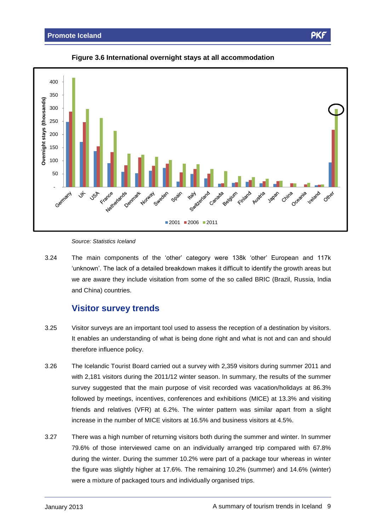



#### Source: Statistics Iceland

Source: Statistics Iceland<br>3.24 The main components of the 'other' category were 138k 'other' European and 117k 'unknown'. The lack of a detailed breakdown makes it difficult to identify the growth areas but we are aware they include visitation from some of the so called BRIC (Brazil, Russia, India and China) countries.

#### **Visitor survey trends**

- 3.25 Visitor surveys are an important tool used to assess the reception of a destination by visitors. It enables an understanding of what is being done right and what is not and can and should therefore influence policy.
- 3.26 The Icelandic Tourist Board carried out a survey with 2,359 visitors during summer 2011 and with 2,181 visitors during the 2011/12 winter season. In summary, the results of the summer survey suggested that the main purpose of visit recorded was vacation/holidays at 86.3% followed by meetings, incentives, conferences and exhibitions (MICE) at 13.3% and visiting friends and relatives (VFR) at 6.2%. The winter pattern was similar apart from a slight increase in the number of MICE visitors at 16.5% and business visitors at 4.5%.
- 3.27 There was a high number of returning visitors both during the summer and winter. In summer 79.6% of those interviewed came on an individually arranged trip compared with 67.8% during the winter. During the summer 10.2% were part of a package tour whereas in winter the figure was slightly higher at 17.6%. The remaining 10.2% (summer) and 14.6% (winter) were a mixture of packaged tours and individually organised trips.

PK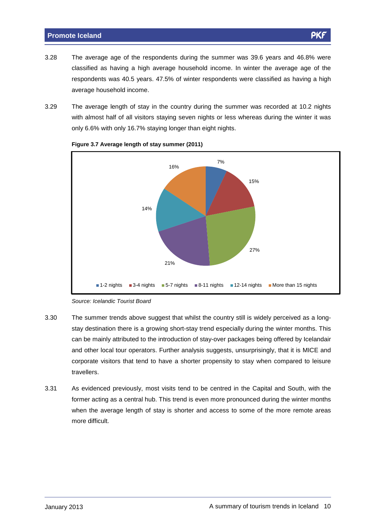- 3.28 The average age of the respondents during the summer was 39.6 years and 46.8% were classified as having a high average household income. In winter the average age of the respondents was 40.5 years. 47.5% of winter respondents were classified as having a high average household income.
- 3.29 The average length of stay in the country during the summer was recorded at 10.2 nights with almost half of all visitors staying seven nights or less whereas during the winter it was only 6.6% with only 16.7% staying longer than eight nights.



#### **Figure 3.7 Average length of stay summer (2011)**

- 3.30 The summer trends above suggest that whilst the country still is widely perceived as a long stay destination there is a growing short-stay trend especially during the winter months. This can be mainly attributed to the introduction of stay-over packages being offered by Icelandair and other local tour operators. Further analysis suggests, unsurprisingly, that it is MICE and corporate visitors that tend to have a shorter propensity to stay when compared to leisure travellers.
- 3.31 As evidenced previously, most visits tend to be centred in the Capital and South, with the former acting as a central hub. This trend is even more pronounced during the winter months when the average length of stay is shorter and access to some of the more remote areas more difficult.

Source: Icelandic Tourist Board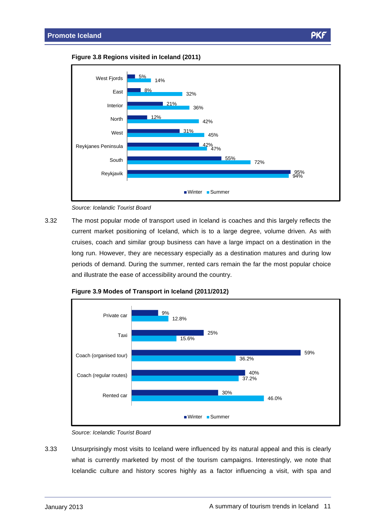



Source: Icelandic Tourist Board

3.32 The most popular mode of transport used in Iceland is coaches and this largely reflects the current market positioning of Iceland, which is to a large degree, volume driven. As with cruises, coach and similar group business can have a large impact on a destination in the long run. However, they are necessary especially as a destination matures and during low periods of demand. During the summer, rented cars remain the far the most popular choice and illustrate the ease of accessibility around the country.





3.33 Unsurprisingly most visits to Iceland were influenced by its natural appeal and this is clearly what is currently marketed by most of the tourism campaigns. Interestingly, we note that Icelandic culture and history scores highly as a factor influencing a visit, with spa and

Source: Icelandic Tourist Board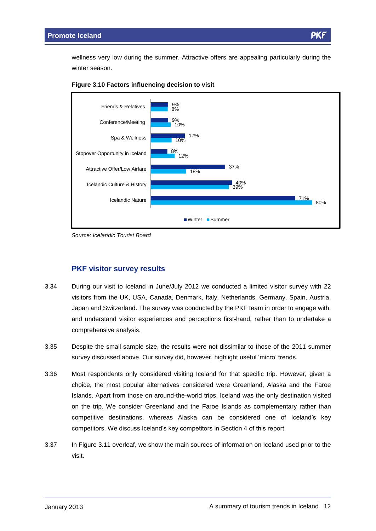wellness very low during the summer. Attractive offers are appealing particularly during the winter season.





Source: Icelandic Tourist Board

#### **PKF visitor survey results**

- 3.34 During our visit to Iceland in June/July 2012 we conducted a limited visitor survey with 22 visitors from the UK, USA, Canada, Denmark, Italy, Netherlands, Germany, Spain, Austria, Japan and Switzerland. The survey was conducted by the PKF team in order to engage with, and understand visitor experiences and perceptions first-hand, rather than to undertake a comprehensive analysis.
- 3.35 Despite the small sample size, the results were not dissimilar to those of the 2011 summer survey discussed above. Our survey did, however, highlight useful 'micro' trends.
- 3.36 Most respondents only considered visiting Iceland for that specific trip. However, given a choice, the most popular alternatives considered were Greenland, Alaska and the Faroe Islands. Apart from those on around-the-world trips, Iceland was the only destination visited on the trip. We consider Greenland and the Faroe Islands as complementary rather than competitive parameter processes of the terms in the terms in processes are complementary rather than<br>competitive destinations, whereas Alaska can be considered one of Iceland's key competitive destinations, whereas Alaska can be considered one of Ice<br>competitors. We discuss Iceland's key competitors in Section 4 of this report.
- 3.37 In Figure 3.11 overleaf, we show the main sources of information on Iceland used prior to the visit.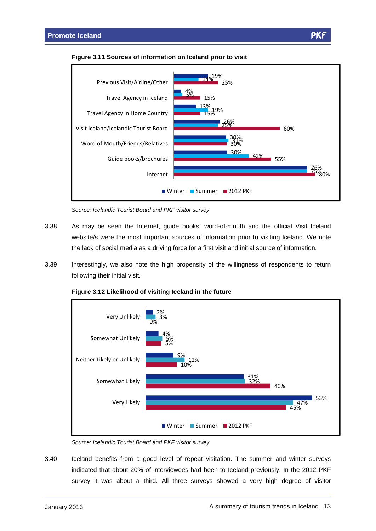

14%

19%



5%

4%

Source: Icelandic Tourist Board and PKF visitor survey

- 3.38 As may be seen the Internet, guide books, word-of-mouth and the official Visit Iceland website/s were the most important sources of information prior to visiting Iceland. We note the lack of social media as a driving force for a first visit and initial source of information.
- 3.39 Interestingly, we also note the high propensity of the willingness of respondents to return following their initial visit.





Source: Icelandic Tourist Board and PKF visitor survey

3.40 Iceland benefits from a good level of repeat visitation. The summer and winter surveys indicated that about 20% of interviewees had been to Iceland previously. In the 2012 PKF survey it was about a third. All three surveys showed a very high degree of visitor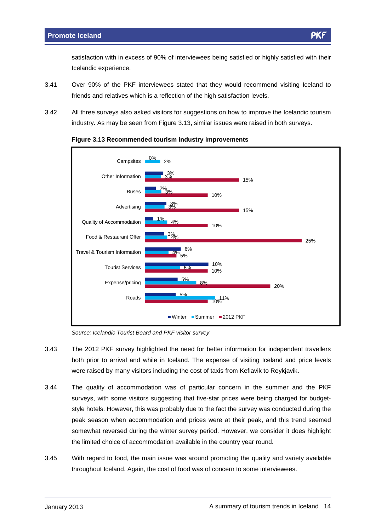satisfaction with in excess of 90% of interviewees being satisfied or highly satisfied with their Icelandic experience.

- 3.41 Over 90% of the PKF interviewees stated that they would recommend visiting Iceland to friends and relatives which is a reflection of the high satisfaction levels.
- 3.42 All three surveys also asked visitors for suggestions on how to improve the Icelandic tourism industry. As may be seen from Figure 3.13, similar issues were raised in both surveys.





Source: Icelandic Tourist Board and PKF visitor survey

- 3.43 The 2012 PKF survey highlighted the need for better information forindependent travellers both prior to arrival and while in Iceland. The expense of visiting Iceland and price levels were raised by many visitors including the cost of taxis from Keflavik to Reykjavik.
- 3.44 The quality of accommodation was of particular concern in the summer and the PKF surveys, with some visitors suggesting that five-star prices were being charged for budgetstyle hotels. However, this was probably due to the fact the survey was conducted during the peak season when accommodation and prices were at their peak, and this trend seemed somewhat reversed during the winter survey period. However, we consider it does highlight the limited choice of accommodation available in the country year round.
- 3.45 With regard to food, the main issue was around promoting the quality and variety available throughout Iceland. Again, the cost of food was of concern to some interviewees.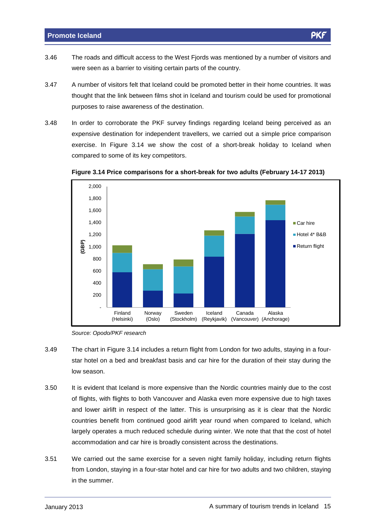- 3.46 The roads and difficult access to the West Fjords was mentioned by a number of visitors and were seen as a barrier to visiting certain parts of the country.
- 3.47 A number of visitors felt that Iceland could be promoted better in their home countries. It was thought that the link between films shot in Iceland and tourism could be used for promotional purposes to raise awareness of the destination.
- 3.48 In order to corroborate the PKF survey findings regarding Iceland being perceived as an expensive destination for independent travellers, we carried out a simple price comparison exercise. In Figure 3.14 we show the cost of a short-break holiday to Iceland when compared to some of its key competitors.



**Figure 3.14 Price comparisons for a short-break for two adults (February 14-17 2013)**

Source: Opodo/PKF research

- 3.49 The chart in Figure 3.14 includes a return flight from London for two adults, staying in a four star hotel on a bed and breakfast basis and car hire for the duration of their stay during the low season.
- 3.50 It is evident that Iceland is more expensive than the Nordic countries mainly due to the cost of flights, with flights to both Vancouver and Alaska even more expensive due to high taxes and lower airlift in respect of the latter. This is unsurprising as it is clear that the Nordic countries benefit from continued good airlift year round when compared to Iceland, which largely operates a much reduced schedule during winter. We note that that the cost of hotel accommodation and car hire is broadly consistent across the destinations.
- 3.51 We carried out the same exercise for a seven night family holiday, including return flights from London, staying in a four-star hotel and car hire for two adults and two children, staying in the summer.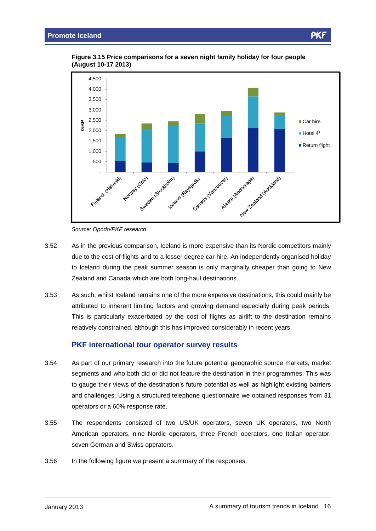

**Figure 3.15 Price comparisons for a seven night family holiday for four people (August 10-17 2013)**

- 3.52 As in the previous comparison, Iceland is more expensive than its Nordic competitors mainly due to the cost of flights and to a lesser degree car hire. An independently organised holiday to Iceland during the peak summer season is only marginally cheaper than going to New Zealand and Canada which are both long-haul destinations.
- 3.53 As such, whilst Iceland remains one of the more expensive destinations, this could mainly be attributed to inherent limiting factors and growing demand especially during peak periods. This is particularly exacerbated by the cost of flights as airlift to the destination remains relatively constrained, although this has improved considerably in recent years.

#### **PKF international tour operator survey results**

- 3.54 As part of our primary research into the future potential geographic source markets, market segments and who both did or did not feature the destination in their programmes. This was to gauge their views of the destination's future potential as well as highlight existing barriers and challenges. Using a structured telephone questionnaire we obtained responses from 31 operators or a 60% response rate.
- 3.55 The respondents consisted of two US/UK operators, seven UK operators, two North American operators, nine Nordic operators, three French operators, one Italian operator, seven German and Swiss operators.
- 3.56 In the following figure we present a summary of the responses.

ρĸ

Source: Opodo/PKF research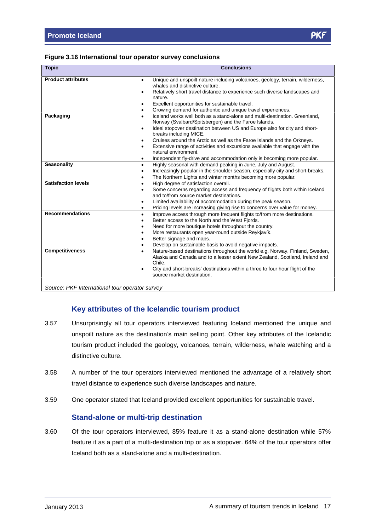#### **Figure 3.16 International tour operator survey conclusions**

| <b>Topic</b>               | <b>Conclusions</b>                                                                                                                              |  |  |  |  |  |
|----------------------------|-------------------------------------------------------------------------------------------------------------------------------------------------|--|--|--|--|--|
| <b>Product attributes</b>  | Unique and unspoilt nature including volcanoes, geology, terrain, wilderness,<br>$\bullet$                                                      |  |  |  |  |  |
|                            | whales and distinctive culture.                                                                                                                 |  |  |  |  |  |
|                            | Relatively short travel distance to experience such diverse landscapes and<br>$\bullet$                                                         |  |  |  |  |  |
|                            | nature.                                                                                                                                         |  |  |  |  |  |
|                            | Excellent opportunities for sustainable travel.<br>$\bullet$                                                                                    |  |  |  |  |  |
|                            | Growing demand for authentic and unique travel experiences.<br>$\bullet$                                                                        |  |  |  |  |  |
| Packaging                  | Iceland works well both as a stand-alone and multi-destination. Greenland.<br>$\bullet$<br>Norway (Svalbard/Spitsbergen) and the Faroe Islands. |  |  |  |  |  |
|                            | Ideal stopover destination between US and Europe also for city and short-<br>$\bullet$                                                          |  |  |  |  |  |
|                            | breaks including MICE.                                                                                                                          |  |  |  |  |  |
|                            | Cruises around the Arctic as well as the Faroe Islands and the Orkneys.<br>$\bullet$                                                            |  |  |  |  |  |
|                            | Extensive range of activities and excursions available that engage with the<br>$\bullet$                                                        |  |  |  |  |  |
|                            | natural environment.                                                                                                                            |  |  |  |  |  |
|                            | Independent fly-drive and accommodation only is becoming more popular.<br>$\bullet$                                                             |  |  |  |  |  |
| <b>Seasonality</b>         | Highly seasonal with demand peaking in June, July and August.<br>$\bullet$                                                                      |  |  |  |  |  |
|                            | Increasingly popular in the shoulder season, especially city and short-breaks.<br>$\bullet$                                                     |  |  |  |  |  |
|                            | The Northern Lights and winter months becoming more popular.<br>$\bullet$                                                                       |  |  |  |  |  |
| <b>Satisfaction levels</b> | High degree of satisfaction overall.<br>$\bullet$                                                                                               |  |  |  |  |  |
|                            | Some concerns regarding access and frequency of flights both within Iceland<br>$\bullet$                                                        |  |  |  |  |  |
|                            | and to/from source market destinations.                                                                                                         |  |  |  |  |  |
|                            | Limited availability of accommodation during the peak season.<br>$\bullet$                                                                      |  |  |  |  |  |
|                            | Pricing levels are increasing giving rise to concerns over value for money.<br>$\bullet$                                                        |  |  |  |  |  |
| <b>Recommendations</b>     | Improve access through more frequent flights to/from more destinations.<br>$\bullet$                                                            |  |  |  |  |  |
|                            | Better access to the North and the West Fjords.<br>$\bullet$                                                                                    |  |  |  |  |  |
|                            | Need for more boutique hotels throughout the country.<br>$\bullet$                                                                              |  |  |  |  |  |
|                            | More restaurants open year-round outside Reykjavík.<br>$\bullet$                                                                                |  |  |  |  |  |
|                            | Better signage and maps.<br>$\bullet$                                                                                                           |  |  |  |  |  |
|                            | Develop on sustainable basis to avoid negative impacts.<br>$\bullet$                                                                            |  |  |  |  |  |
| <b>Competitiveness</b>     | Nature-based destinations throughout the world e.g. Norway, Finland, Sweden,<br>$\bullet$                                                       |  |  |  |  |  |
|                            | Alaska and Canada and to a lesser extent New Zealand, Scotland, Ireland and                                                                     |  |  |  |  |  |
|                            | Chile.                                                                                                                                          |  |  |  |  |  |
|                            | City and short-breaks' destinations within a three to four hour flight of the<br>$\bullet$                                                      |  |  |  |  |  |
|                            | source market destination.                                                                                                                      |  |  |  |  |  |

Source: PKF International tour operator survey

#### **Key attributes of the Icelandic tourism product**

- 3.57 Unsurprisingly all tour operators interviewed featuring Iceland mentioned the unique and Unsurprisingly all tour operators interviewed featuring Iceland mentioned the unique and<br>unspoilt nature as the destination's main selling point. Other key attributes of the Icelandic tourism product included the geology, volcanoes, terrain, wilderness, whale watching and a distinctive culture.
- 3.58 A number of the tour operators interviewed mentioned the advantage of a relatively short travel distance to experience such diverse landscapes and nature.
- 3.59 One operator stated that Iceland provided excellent opportunities for sustainable travel.

#### **Stand-alone or multi-trip destination**

3.60 Of the tour operators interviewed, 85% feature it as a stand-alone destination while 57% feature it as a part of a multi-destination trip or as a stopover. 64% of the tour operators offer Iceland both as a stand-alone and a multi-destination.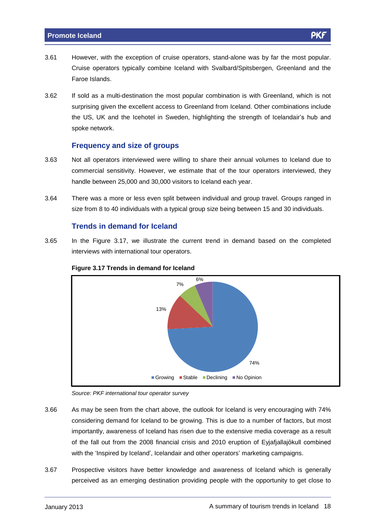- 3.61 However, with the exception of cruise operators, stand-alone was by far the most popular. Cruise operators typically combine Iceland with Svalbard/Spitsbergen, Greenland and the Faroe Islands.
- 3.62 If sold as a multi-destination the most popular combination is with Greenland, which is not surprising given the excellent access to Greenland from Iceland. Other combinations include the US, UK and the Icehotel in Sweden, highlighting the strength of Icelandair's hub and spoke network.

#### **Frequency and size of groups**

- 3.63 Not all operators interviewed were willing to share their annual volumes to Iceland due to commercial sensitivity. However, we estimate that of the tour operators interviewed, they handle between 25,000 and 30,000 visitors to Iceland each year.
- 3.64 There was a more or less even split between individual and group travel. Groups ranged in size from 8 to 40 individuals with a typical group size being between 15 and 30 individuals.

#### **Trends in demand for Iceland**

3.65 In the Figure 3.17, we illustrate the current trend in demand based on the completed interviews with international tour operators.



#### **Figure 3.17 Trends in demand for Iceland**

Source: PKF international tour operator survey

- 3.66 As may be seen from the chart above, the outlook for Iceland is very encouraging with 74% considering demand for Iceland to be growing. This is due to a number of factors, but most importantly, awareness of Iceland has risen due to the extensive media coverage as a result of the fall out from the 2008 financial crisis and 2010 eruption of Eyjafjallajökull combined<br>of the fall out from the 2008 financial crisis and 2010 eruption of Eyjafjallajökull combined of the fall out from the 2008 financial crisis and 2010 eruption of Eyjafjallajökull combined<br>with the 'Inspired by Iceland', Icelandair and other operators' marketing campaigns.
- 3.67 Prospective visitors have better knowledge and awareness of Iceland which is generally perceived as an emerging destination providing people with the opportunity to get close to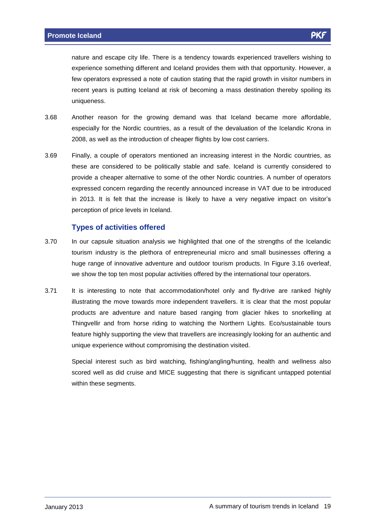nature and escape city life. There is a tendency towards experienced travellers wishing to experience something different and Iceland provides them with that opportunity. However, a few operators expressed a note of caution stating that the rapid growth in visitor numbers in recent years is putting Iceland at risk of becoming a mass destination thereby spoiling its uniqueness.

- 3.68 Another reason for the growing demand was that Iceland became more affordable, especially for the Nordic countries, as a result of the devaluation of the Icelandic Krona in 2008, as well as the introduction of cheaper flights by low cost carriers.
- 3.69 Finally, a couple of operators mentioned an increasing interest in the Nordic countries, as these are considered to be politically stable and safe. Iceland is currently considered to provide a cheaper alternative to some of the other Nordic countries. A number of operators expressed concern regarding the recently announced increase in VAT due to be introduced expressed concern regarding the recently announced increase in VAT due to be introduced<br>in 2013. It is felt that the increase is likely to have a very negative impact on visitor's perception of price levels in Iceland.

#### **Types of activities offered**

- 3.70 In our capsule situation analysis we highlighted that one of the strengths of the Icelandic tourism industry is the plethora of entrepreneurial micro and small businesses offering a huge range of innovative adventure and outdoor tourism products. In Figure 3.16 overleaf, we show the top ten most popular activities offered by the international tour operators.
- 3.71 It is interesting to note that accommodation/hotel only and fly-drive are ranked highly illustrating the move towards more independent travellers. It is clear that the most popular products are adventure and nature based ranging from glacier hikes to snorkelling at Thingvellir and from horse riding to watching the Northern Lights. Eco/sustainable tours feature highly supporting the view that travellers are increasingly looking for an authentic and unique experience without compromising the destination visited.

Special interest such as bird watching, fishing/angling/hunting, health and wellness also scored well as did cruise and MICE suggesting that there is significant untapped potential within these segments.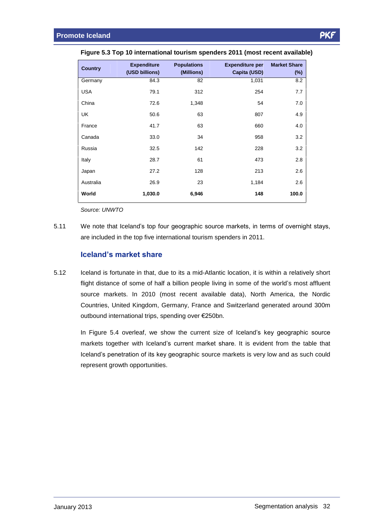| <b>Country</b> | <b>Expenditure</b> | <b>Populations</b> | <b>Expenditure per</b> | <b>Market Share</b> |
|----------------|--------------------|--------------------|------------------------|---------------------|
|                | (USD billions)     | (Millions)         | Capita (USD)           | $(\%)$              |
| Germany        | 84.3               | 82                 | 1,031                  | 8.2                 |
| <b>USA</b>     | 79.1               | 312                | 254                    | 7.7                 |
| China          | 72.6               | 1,348              | 54                     | 7.0                 |
| UK             | 50.6               | 63                 | 807                    | 4.9                 |
| France         | 41.7               | 63                 | 660                    | 4.0                 |
| Canada         | 33.0               | 34                 | 958                    | 3.2                 |
| Russia         | 32.5               | 142                | 228                    | 3.2                 |
| Italy          | 28.7               | 61                 | 473                    | 2.8                 |
| Japan          | 27.2               | 128                | 213                    | 2.6                 |
| Australia      | 26.9               | 23                 | 1,184                  | 2.6                 |
| World          | 1,030.0            | 6,946              | 148                    | 100.0               |

| Figure 5.3 Top 10 international tourism spenders 2011 (most recent available) |  |  |
|-------------------------------------------------------------------------------|--|--|
|                                                                               |  |  |

Source: UNWTO

5.11 We note that Iceland's top four geographic source markets, in terms of overnight stays, are included in the top five international tourism spenders in 2011. **Icelandís market share**

5.12 Iceland is fortunate in that, due to its a mid-Atlantic location, it is within a relatively short flight distance of some of half a billion people living in some of the world's most affluent source markets. In 2010 (most recent available data), North America, the Nordic Countries, United Kingdom, Germany, France and Switzerland generated around 300m Countries, United Kingdom, Germany, France and Switchbound international trips, spending over €250bn.

outbound international trips, spending over €250bn.<br>In Figure 5.4 overleaf, we show the current size of Iceland's key geographic source In Figure 5.4 overleaf, we show the current size of Iceland's key geographic source<br>markets together with Iceland's current market share. It is evident from the table that markets together with Iceland's current market share. It is evident from the table that<br>Iceland's penetration of its key geographic source markets is very low and as such could represent growth opportunities.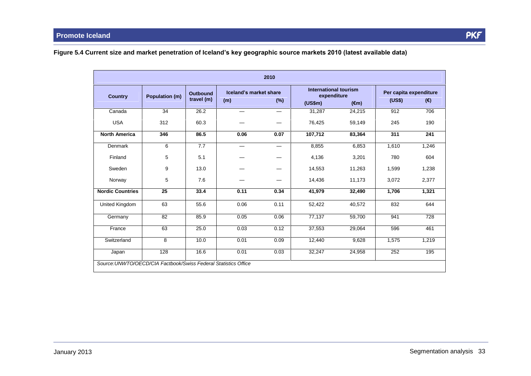Figure 5.4 Current size and market penetration of Iceland's key geographic source markets 2010 (latest available data)

| 2010<br>International tourism |                       |                               |                               |                          |                        |                |                                         |       |  |
|-------------------------------|-----------------------|-------------------------------|-------------------------------|--------------------------|------------------------|----------------|-----------------------------------------|-------|--|
| <b>Country</b>                | <b>Population (m)</b> | <b>Outbound</b><br>travel (m) | Iceland's market share<br>(m) | $(\%)$                   | expenditure<br>(US\$m) | $(\epsilon m)$ | Per capita expenditure<br>(US\$)<br>(€) |       |  |
| Canada                        | 34                    | 26.2                          | $\overline{\phantom{0}}$      |                          | 31,287                 | 24,215         | 912                                     | 706   |  |
| <b>USA</b>                    | 312                   | 60.3                          |                               |                          | 76,425                 | 59,149         | 245                                     | 190   |  |
| <b>North America</b>          | 346                   | 86.5                          | 0.06                          | 0.07                     | 107,712                | 83,364         | 311                                     | 241   |  |
| <b>Denmark</b>                | 6                     | 7.7                           | $\overline{\phantom{0}}$      | $\overline{\phantom{m}}$ | 8,855                  | 6,853          | 1,610                                   | 1,246 |  |
| Finland                       | 5                     | 5.1                           |                               |                          | 4,136                  | 3,201          | 780                                     | 604   |  |
| Sweden                        | 9                     | 13.0                          |                               |                          | 14,553                 | 11,263         | 1,599                                   | 1,238 |  |
| Norway                        | 5                     | 7.6                           |                               |                          | 14,436                 | 11,173         | 3,072                                   | 2,377 |  |
| <b>Nordic Countries</b>       | 25                    | 33.4                          | 0.11                          | 0.34                     | 41,979                 | 32,490         | 1,706                                   | 1,321 |  |
| United Kingdom                | 63                    | 55.6                          | 0.06                          | 0.11                     | 52,422                 | 40,572         | 832                                     | 644   |  |
| Germany                       | 82                    | 85.9                          | 0.05                          | 0.06                     | 77.137                 | 59.700         | 941                                     | 728   |  |
| France                        | 63                    | 25.0                          | 0.03                          | 0.12                     | 37,553                 | 29,064         | 596                                     | 461   |  |
| Switzerland                   | 8                     | 10.0                          | 0.01                          | 0.09                     | 12,440                 | 9,628          | 1,575                                   | 1,219 |  |
| Japan                         | 128                   | 16.6                          | 0.01                          | 0.03                     | 32,247                 | 24,958         | 252                                     | 195   |  |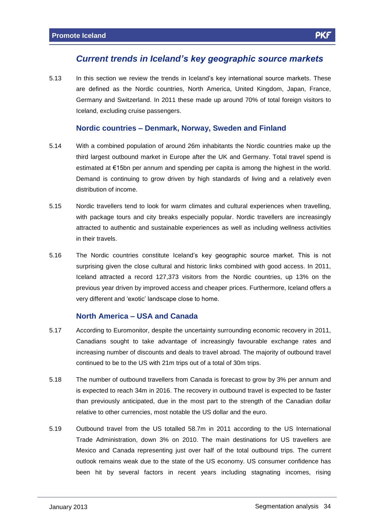# **Current trends in Iceland***ís key geographic source markets*

5.13 In this section we review the trends in Iceland's key international source markets. These are defined as the Nordic countries, North America, United Kingdom, Japan, France, Germany and Switzerland. In 2011 these made up around 70% of total foreign visitors to Iceland, excluding cruise passengers.

#### **Nordic countries <sup>ñ</sup> Denmark, Norway, Sweden and Finland**

- 5.14 With a combined population of around 26m inhabitants the Nordic countries make up the third largest outbound market in Europe after the UK and Germany. Total travel spend is third largest outbound market in Europe after the UK and Germany. Total travel spend is estimated at  $\epsilon$ 15bn per annum and spending per capita is among the highest in the world. Demand is continuing to grow driven by high standards of living and a relatively even distribution of income.
- 5.15 Nordic travellers tend to look for warm climates and cultural experiences when travelling, with package tours and city breaks especially popular. Nordic travellers are increasingly attracted to authentic and sustainable experiences as well as including wellness activities in their travels.
- 5.16 The Nordic countries constitute Icelandís key geographic source market. This is not surprising given the close cultural and historic links combined with good access. In 2011, Iceland attracted a record 127,373 visitors from the Nordic countries, up 13% on the previous year driven by improved access and cheaper prices. Furthermore, Iceland offers a versing and there is necessary to handle them are<br>previous year driven by improved access and cheaper p<br>very different and 'exotic' landscape close to home. **North America <sup>ñ</sup> USA and Canada**

- 5.17 According to Euromonitor, despite the uncertainty surrounding economic recovery in 2011, Canadians sought to take advantage of increasingly favourable exchange rates and increasing number of discounts and deals to travel abroad. The majority of outbound travel continued to be to the US with 21m trips out of a total of 30m trips.
- 5.18 The number of outbound travellers from Canada is forecast to grow by 3% per annum and is expected to reach 34m in 2016. The recovery in outbound travel is expected to be faster than previously anticipated, due in the most part to the strength of the Canadian dollar relative to other currencies, most notable the US dollar and the euro.
- 5.19 Outbound travel from the US totalled 58.7m in 2011 according to the US International Trade Administration, down 3% on 2010. The main destinations for US travellers are Mexico and Canada representing just over half of the total outbound trips. The current outlook remains weak due to the state of the US economy. US consumer confidence has been hit by several factors in recent years including stagnating incomes, rising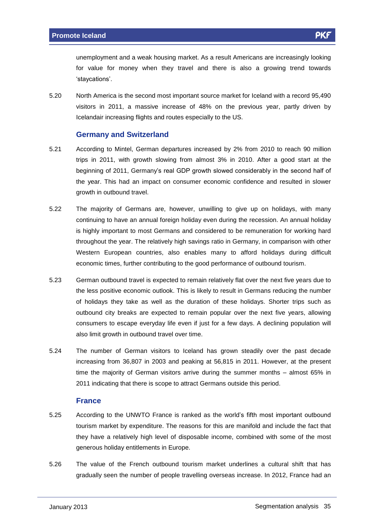unemployment and a weak housing market. As a result Americans are increasingly looking for value for money when they travel and there is also a growing trend towards 'staycations'.

5.20 North America is the second most important source market for Iceland with a record 95,490 visitors in 2011, a massive increase of 48% on the previous year, partly driven by Icelandair increasing flights and routes especially to the US.

#### **Germany and Switzerland**

- 5.21 According to Mintel, German departures increased by 2% from 2010 to reach 90 million trips in 2011, with growth slowing from almost 3% in 2010. After a good start at the beginning of 2011, with growth slowing from almost 3% in 2010. After a good start at the beginning of 2011, Germany's real GDP growth slowed considerably in the second half of the year. This had an impact on consumer economic confidence and resulted in slower growth in outbound travel.
- 5.22 The majority of Germans are, however, unwilling to give up on holidays, with many continuing to have an annual foreign holiday even during the recession. An annual holiday is highly important to most Germans and considered to be remuneration for working hard throughout the year. The relatively high savings ratio in Germany, in comparison with other Western European countries, also enables many to afford holidays during difficult economic times, further contributing to the good performance of outbound tourism.
- 5.23 German outbound travel is expected to remain relatively flat over the next five years due to the less positive economic outlook. This is likely to result in Germans reducing the number of holidays they take as well as the duration of these holidays. Shorter trips such as outbound city breaks are expected to remain popular over the next five years, allowing consumers to escape everyday life even if just for a few days. A declining population will also limit growth in outbound travel over time.
- 5.24 The number of German visitors to Iceland has grown steadily over the past decade increasing from 36,807 in 2003 and peaking at 56,815 in 2011. However, at the present the mainted of Cerman visitors of German visitors at 56,815 in 2011. However, at the present<br>time the majority of German visitors arrive during the summer months – almost 65% in 2011 indicating that there is scope to attract Germans outside this period.

#### **France**

- 5.25 According to the UNWTO France is ranked as the worldís fifth most important outbound tourism market by expenditure. The reasons for this are manifold and include the fact that they have a relatively high level of disposable income, combined with some of the most generous holiday entitlements in Europe.
- 5.26 The value of the French outbound tourism market underlines a cultural shift that has gradually seen the number of people travelling overseas increase. In 2012, France had an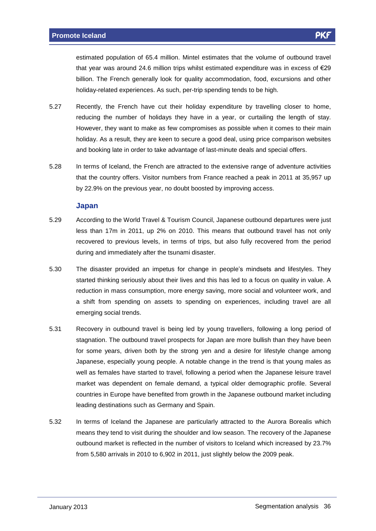estimated population of 65.4 million. Mintel estimates that the volume of outbound travel that year was around 24.6 million trips whilst estimated expenditure was in excess of  $E29$ billion. The French generally look for quality accommodation, food, excursions and other holiday-related experiences. As such, per-trip spending tends to be high.

- 5.27 Recently, the French have cut their holiday expenditure by travelling closer to home, reducing the number of holidays they have in a year, or curtailing the length of stay. However, they want to make as few compromises as possible when it comes to their main holiday. As a result, they are keen to secure a good deal, using price comparison websites and booking late in order to take advantage of last-minute deals and special offers.
- 5.28 In terms of Iceland, the French are attracted to the extensive range of adventure activities that the country offers. Visitor numbers from France reached a peak in 2011 at 35,957 up by 22.9% on the previous year, no doubt boosted by improving access.

#### **Japan**

- 5.29 According to the World Travel & Tourism Council, Japanese outbound departures were just less than 17m in 2011, up 2% on 2010. This means that outbound travel has not only recovered to previous levels, in terms of trips, but also fully recovered from the period during and immediately after the tsunami disaster.
- 5.30 The disaster provided an impetus for change in people's mindsets and lifestyles. They started thinking seriously about their lives and this has led to a focus on quality in value. A reduction in mass consumption, more energy saving, more social and volunteer work, and a shift from spending on assets to spending on experiences, including travel are all emerging social trends.
- 5.31 Recovery in outbound travel is being led by young travellers, following a long period of stagnation. The outbound travel prospects for Japan are more bullish than they have been for some years, driven both by the strong yen and a desire for lifestyle change among Japanese, especially young people. A notable change in the trend is that young males as well as females have started to travel, following a period when the Japanese leisure travel market was dependent on female demand, a typical older demographic profile. Several countries in Europe have benefited from growth in the Japanese outbound market including leading destinations such as Germany and Spain.
- 5.32 In terms of Iceland the Japanese are particularly attracted to the Aurora Borealis which means they tend to visit during the shoulder and low season. The recovery of the Japanese outbound market is reflected in the number of visitors to Iceland which increased by 23.7% from 5,580 arrivals in 2010 to 6,902 in 2011, just slightly below the 2009 peak.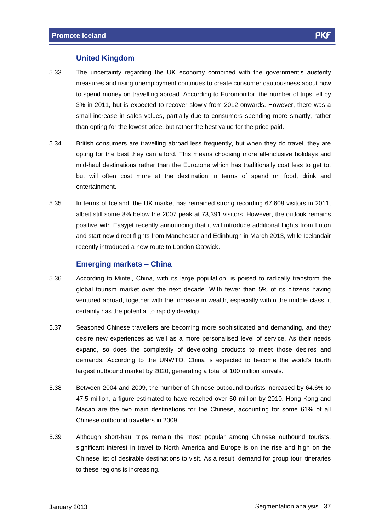#### **United Kingdom**

- 5.33 The uncertainty regarding the UK economy combined with the governmentís austerity measures and rising unemployment continues to create consumer cautiousness about how to spend money on travelling abroad. According to Euromonitor, the number of trips fell by 3% in 2011, but is expected to recover slowly from 2012 onwards. However, there was a small increase in sales values, partially due to consumers spending more smartly, rather than opting for the lowest price, but rather the best value for the price paid.
- 5.34 British consumers are travelling abroad less frequently, but when they do travel, they are opting for the best they can afford. This means choosing more all-inclusive holidays and mid-haul destinations rather than the Eurozone which has traditionally cost less to get to, but will often cost more at the destination in terms of spend on food, drink and entertainment.
- 5.35 In terms of Iceland, the UK market has remained strong recording 67,608 visitors in 2011, albeit still some 8% below the 2007 peak at 73,391 visitors. However, the outlook remains positive with Easyjet recently announcing that it will introduce additional flights from Luton and start new direct flights from Manchester and Edinburgh in March 2013, while Icelandair recently introduced a new route to London Gatwick. **Emerging markets <sup>ñ</sup> China**

- 5.36 According to Mintel, China, with its large population, is poised to radically transform the global tourism market over the next decade. With fewer than 5% of its citizens having ventured abroad, together with the increase in wealth, especially within the middle class, it certainly has the potential to rapidly develop.
- 5.37 Seasoned Chinese travellers are becoming more sophisticated and demanding, and they desire new experiences as well as a more personalised levelof service. As their needs expand, so does the complexity of developing products to meet those desires and demands. According to the UNWTO, China is expected to become the world's fourth<br>demands. According to the UNWTO, China is expected to become the world's fourth largest outbound market by 2020, generating a total of 100 million arrivals.
- 5.38 Between 2004 and 2009, the number of Chinese outbound tourists increased by 64.6% to 47.5 million, a figure estimated to have reached over 50 million by 2010. Hong Kong and Macao are the two main destinations for the Chinese, accounting for some 61% of all Chinese outbound travellers in 2009.
- 5.39 Although short-haul trips remain the most popular among Chinese outbound tourists, significant interest in travel to North America and Europe is on the rise and high on the Chinese list of desirable destinations to visit. As a result, demand for group tour itineraries to these regions is increasing.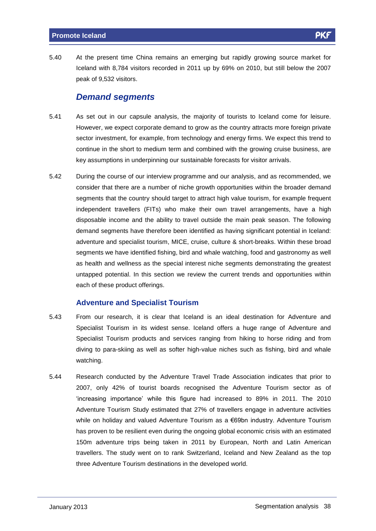5.40 At the present time China remains an emerging but rapidly growing source market for Iceland with 8,784 visitors recorded in 2011 up by 69% on 2010, but still below the 2007 peak of 9,532 visitors.

#### **Demand segments**

- 5.41 As set out in our capsule analysis, the majority of tourists to Iceland come for leisure. However, we expect corporate demand to grow as the country attracts more foreign private sector investment, for example, from technology and energy firms. We expect this trend to continue in the short to medium term and combined with the growing cruise business, are key assumptions in underpinning our sustainable forecasts for visitor arrivals.
- 5.42 During the course of our interview programme and our analysis, and as recommended, we consider that there are a number of niche growth opportunities within the broader demand segments that the country should target to attract high value tourism, for example frequent independent travellers (FITs) who make their own travel arrangements, have a high disposable income and the ability to travel outside the main peak season. The following demand segments have therefore been identified as having significant potential in Iceland: adventure and specialist tourism, MICE, cruise, culture & short-breaks. Within these broad segments we have identified fishing, bird and whale watching, food and gastronomy as well as health and wellness as the special interest niche segments demonstrating the greatest untapped potential. In this section we review the current trends and opportunities within each of these product offerings.

#### **Adventure and Specialist Tourism**

- 5.43 From our research, it is clear that Iceland is an ideal destination for Adventure and Specialist Tourism in its widest sense. Iceland offers a huge range of Adventure and Specialist Tourism products and services ranging from hiking to horse riding and from diving to para-skiing as well as softer high-value niches such as fishing, bird and whale watching.
- 5.44 Research conducted by the Adventure Travel Trade Association indicates that prior to 2007, only 42% of tourist boards recognised the Adventure Tourism sector as of importanceí while this figure had increased to 89% in 2011. The <sup>2010</sup> Adventure Tourism Study estimated that 27% of travellers engage in adventure activities Adventure Tourism Study estimated that 27% of travellers engage in adventure activities<br>while on holiday and valued Adventure Tourism as a €69bn industry. Adventure Tourism has proven to be resilient even during the ongoing global economic crisis with an estimated 150m adventure trips being taken in 2011 by European, North and Latin American travellers. The study went on to rank Switzerland, Iceland and New Zealand as the top three Adventure Tourism destinations in the developed world.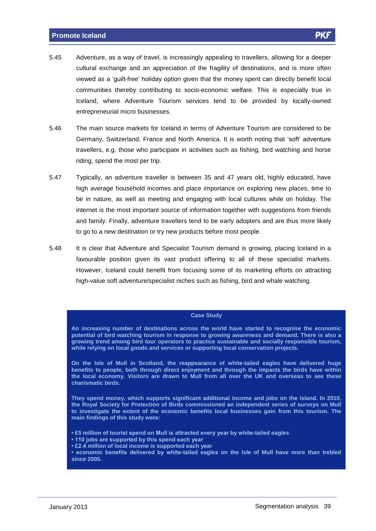- 5.45 Adventure, as a way of travel, is increasingly appealing to travellers, allowing for a deeper cultural exchange and an appreciation of the fragility of destinations, and is more often viewed as a 'guilt-free' holiday option given that the money spent can directly benefit local<br>viewed as a 'guilt-free' holiday option given that the money spent can directly benefit local communities thereby contributing to socio-economic welfare. This is especially true in Iceland, where Adventure Tourism services tend to be provided by locally-owned entrepreneurial micro businesses.
- 5.46 The main source markets for Iceland in terms of Adventure Tourism are considered to be The main source markets for Iceland in terms of Adventure Tourism are considered to be<br>Germany, Switzerland, France and North America. It is worth noting that 'soft' adventure travellers, e.g. those who participate in activities such as fishing, bird watching and horse riding, spend the most per trip.
- 5.47 Typically, an adventure traveller is between 35 and 47 years old, highly educated, have high average household incomes and place importance on exploring new places, time to be in nature, as well as meeting and engaging with local cultures while on holiday. The internet is the most important source of information together with suggestions from friends and family. Finally, adventure travellers tend to be early adopters and are thus more likely to go to a new destination or try new products before most people.
- 5.48 It is clear that Adventure and Specialist Tourism demand is growing, placing Iceland in a favourable position given its vast product offering to all of these specialist markets. However, Iceland could benefit from focusing some of its marketing efforts on attracting high-value soft adventure/specialist niches such as fishing, bird and whale watching.

#### **Case Study**

**An increasing number of destinations across the world have started to recognise the economic potential of bird watching tourism in response to growing awareness and demand. There is also a growing trend among bird tour operators to practice sustainable and socially responsible tourism, while relying on local goods and services or supporting local conservation projects.**

**On the Isle of Mull in Scotland, the reappearance of white-tailed eagles have delivered huge benefits to people, both through direct enjoyment and through the impacts the birds have within the local economy. Visitors are drawn to Mull from all over the UK and overseas to see these charismatic birds.**

**They spend money, which supports significant additional income and jobs on the island. In 2010, the Royal Society for Protection of Birds commissioned an independent series of surveys on Mull to investigate the extent of the economic benefits local businesses gain from this tourism. The main findings of this study were: ï£5 million of tourist spend on Mull is attracted every year by white-tailed eagles**

- **<sup>110</sup> jobs are supported by this spend each year** ● £5 million of tourist spend on Mull is attracted every year<br>● 110 jobs are supported by this spend each year<br>● £2.4 million of local income is supported each year
- **· 110 jobs are supported by this spend each year**
- 

 **economic benefits delivered by white-tailed eagles on the Isle of Mull have more than trebled since 2005.**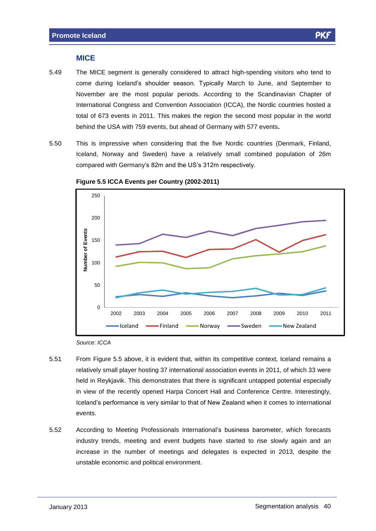#### **MICE**

- 5.49 The MICE segment is generally considered to attract high-spending visitors who tend to come during Icelandís shoulder season. Typically March to June, and September to November are the most popular periods. According to the Scandinavian Chapter of International Congress and Convention Association (ICCA), the Nordic countries hosted a total of 673 events in 2011. This makes the region the second most popular in the world behind the USA with 759 events, but ahead of Germany with 577 events**.**
- 5.50 This is impressive when considering that the five Nordic countries (Denmark, Finland, Iceland, Norway and Sweden) have a relatively small combined population of 26m compared with Germany's 82m and the US's 312m respectively.<br>Compared with Germany's 82m and the US's 312m respectively.



**Figure 5.5 ICCA Events per Country (2002-2011)**

Source: ICCA

- 5.51 From Figure 5.5 above, it is evident that, within its competitive context, Iceland remains a relatively small player hosting 37 international association events in 2011, of which 33 were held in Reykjavik. This demonstrates that there is significant untapped potential especially in view of the recently opened Harpa Concert Hall and Conference Centre. Interestingly, Iceland is performance is very similar to that of New Zealand when it comes to international<br>Iceland's performance is very similar to that of New Zealand when it comes to international events.
- 5.52 According to Meeting Professionals Internationalís business barometer, which forecasts industry trends, meeting and event budgets have started to rise slowly again and an increase in the number of meetings and delegates is expected in 2013, despite the unstable economic and political environment.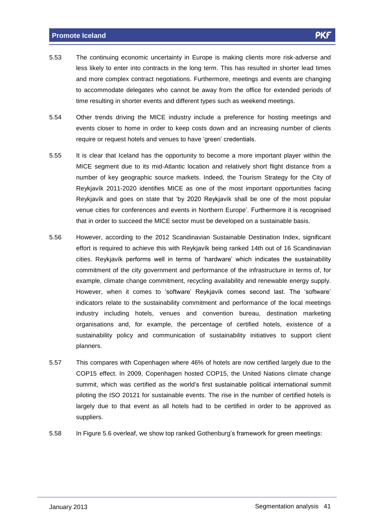- 5.53 The continuing economic uncertainty in Europe is making clients more risk-adverse and less likely to enter into contracts in the long term. This has resulted in shorter lead times and more complex contract negotiations. Furthermore, meetings and events are changing to accommodate delegates who cannot be away from the office forextended periods of time resulting in shorter events and different types such as weekend meetings.
- 5.54 Other trends driving the MICE industry include a preference for hosting meetings and events closer to home in order to keep costs down and an increasing number of clients require or request hotels and venues to have 'green' credentials.
- 5.55 It is clear that Iceland has the opportunity to become a more important player within the MICE segment due to its mid-Atlantic location and relatively short flight distance from a number of key geographic source markets. Indeed, the Tourism Strategy for the City of Reykjavík 2011-2020 identifies MICE as one of the most important opportunities facing<br>Reykjavík 2011-2020 identifies MICE as one of the most important opportunities facing Reykjavík 2011-2020 identifies MICE as one of the most important opportunities facing Reykjavík and goes on state that 'by 2020 Reykjavík shall be one of the most popular<br>venue cities for conferences and events in Northern Europe'. Furthermore it is recognised that in order to succeed the MICE sector must be developed on a sustainable basis.
- 5.56 However, according to the 2012 Scandinavian Sustainable Destination Index, significant However, according to the 2012 Scandinavian Sustainable Destination Index, significant<br>effort is required to achieve this with Reykjavík being ranked 14th out of 16 Scandinavian effort is required to achieve this with Reykjavík being ranked 14th out of 16 Scandinavian<br>cities. Reykjavík performs well in terms of 'hardware' which indicates the sustainability commitment of the city government and performance of the infrastructure in terms of, for example, climate change commitment, recycling availability and renewable energy supply. Example, climate change commitment, recycling availability and renewable energy supply.<br>However, when it comes to 'software' Reykjavík comes second last. The 'software' indicators relate to the sustainability commitment and performance of the local meetings industry including hotels, venues and convention bureau, destination marketing organisations and, for example, the percentage of certified hotels, existence of a sustainability policy and communication of sustainability initiatives to support client planners.
- 5.57 This compares with Copenhagen where 46% of hotels are now certified largely due to the COP15 effect. In 2009, Copenhagen hosted COP15, the United Nations climate change summit, which was certified as the world's first sustainable political international summit piloting the ISO 20121 for sustainable events. The rise in the number of certified hotels is largely due to that event as all hotels had to be certified in order to be approved as suppliers.
- 5.58 In Figure 5.6 overleaf, we show top ranked Gothenburgís framework for green meetings: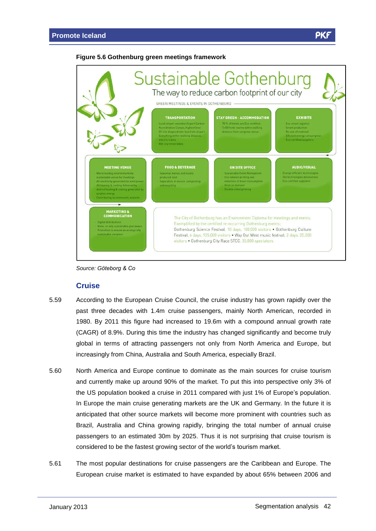#### **Figure 5.6 Gothenburg green meetings framework**





#### **Cruise**

- 5.59 According to the European Cruise Council, the cruise industry has grown rapidly over the past three decades with 1.4m cruise passengers, mainly North American, recorded in 1980. By 2011 this figure had increased to 19.6m with a compound annual growth rate (CAGR) of 8.9%. During this time the industry has changed significantly and become truly global in terms of attracting passengers not only from North America and Europe, but increasingly from China, Australia and South America, especially Brazil.
- 5.60 North America and Europe continue to dominate as the main sources for cruise tourism and currently make up around 90% of the market. To put this into perspective only 3% of the US population booked a cruise in 2011 compared with just 1% of Europe's population.<br>the US population booked a cruise in 2011 compared with just 1% of Europe's population. In Europe the main cruise generating markets are the UK and Germany. In the future it is anticipated that other source markets will become more prominent with countries such as Brazil, Australia and China growing rapidly, bringing the total number of annual cruise passengers to an estimated 30m by 2025. Thus it is not surprising that cruise tourism is passengers to an estimated 30m by 2025. Thus it is not surprising that cruis<br>considered to be the fastest growing sector of the world's tourism market.
- 5.61 The most popular destinations for cruise passengers are the Caribbean and Europe. The European cruise market is estimated to have expanded by about 65% between 2006 and

**PK**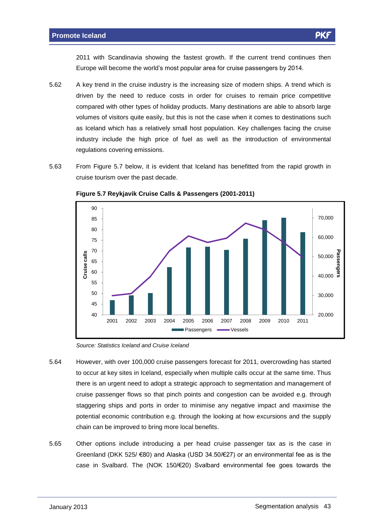2011 with Scandinavia showing the fastest growth. If the current trend continues then 2011 with Scandinavia showing the fastest growth. If the current trend continues<br>Europe will become the world's most popular area for cruise passengers by 2014.

- 5.62 A key trend in the cruise industry is the increasing size of modern ships. A trend which is driven by the need to reduce costs in order for cruises to remain price competitive compared with other types of holiday products. Many destinations are able to absorb large volumes of visitors quite easily, but this is not the case when it comes to destinations such as Iceland which has a relatively small host population. Key challenges facing the cruise industry include the high price of fuel as well as the introduction of environmental regulations covering emissions.
- 5.63 From Figure 5.7 below, it is evident that Iceland has benefitted from the rapid growth in cruise tourism over the past decade.



**Figure 5.7 Reykjavik Cruise Calls & Passengers (2001-2011)**

Source: Statistics Iceland and Cruise Iceland

- 5.64 However, with over 100,000 cruise passengers forecast for 2011, overcrowding has started to occur at key sites in Iceland, especially when multiple calls occur at the same time. Thus there is an urgent need to adopt a strategic approach to segmentation and management of cruise passenger flows so that pinch points and congestion can be avoided e.g. through staggering ships and ports in order to minimise any negative impact and maximise the potential economic contribution e.g. through the looking at how excursions and the supply chain can be improved to bring more local benefits.
- 5.65 Other options include introducing a per head cruise passenger tax as is the case in Other options include introducing a per head cruise passenger tax as is the case in<br>Greenland (DKK 525/ €80) and Alaska (USD 34.50/€27) or an environmental fee as is the Greenland (DKK 525/  $\epsilon$ 80) and Alaska (USD 34.50/ $\epsilon$ 27) or an environmental fee as is the case in Svalbard. The (NOK 150/ $\epsilon$ 20) Svalbard environmental fee goes towards the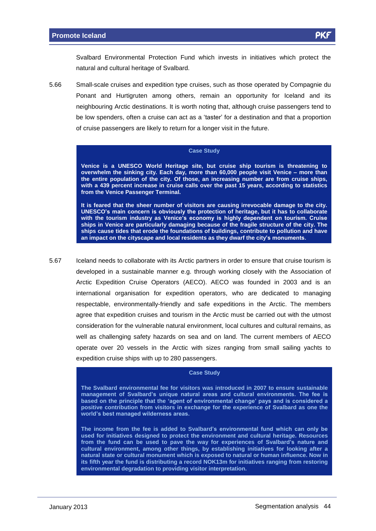Svalbard Environmental Protection Fund which invests in initiatives which protect the natural and cultural heritage of Svalbard.

5.66 Small-scale cruises and expedition type cruises, such as those operated by Compagnie du Ponant and Hurtigruten among others, remain an opportunity for Iceland and its neighbouring Arctic destinations. It is worth noting that, although cruise passengers tend to be low spenders, often a cruise can act as a 'taster' for a destination and that a proportion of cruise passengers are likely to return for a longer visit in the future.

#### **Case Study**

**Venice is a UNESCO World Heritage site, but cruise ship tourism is threatening to overwhelm the sinking city. Each day, more than 60,000 people visit Venice <sup>ñ</sup> more than the entire population of the city. Of those, an increasing number are from cruise ships, with a 439 percent increase in cruise calls over the past 15 years, according to statistics from the Venice Passenger Terminal.**

**It is feared that the sheer number of visitors are causing irrevocable damage to the city. UNESCOís main concern is obviously the protection of heritage, but it has to collaborate** It is feared that the sheer number of visitors are causing irrevocable damage to the city.<br>UNESCO's main concern is obviously the protection of heritage, but it has to collaborate<br>with the tourism industry as Venice's econ ships in Venice are particularly damaging because of the fragile structure of the city. The<br>ships cause tides that erode the foundations of buildings, contribute to pollution and have<br>an impact on the cityscape and local r **ships cause tides that erode the foundations of buildings, contribute to pollution and have**

5.67 Iceland needs to collaborate with its Arctic partners in order to ensure that cruise tourism is developed in a sustainable manner e.g. through working closely with the Association of Arctic Expedition Cruise Operators (AECO). AECO was founded in 2003 and is an international organisation for expedition operators, who are dedicated to managing respectable, environmentally-friendly and safe expeditions in the Arctic. The members agree that expedition cruises and tourism in the Arctic must be carried out with the utmost consideration for the vulnerable natural environment, local cultures and cultural remains, as well as challenging safety hazards on sea and on land. The current members of AECO operate over 20 vessels in the Arctic with sizes ranging from small sailing yachts to expedition cruise ships with up to 280 passengers.

#### **Case Study**

**The Svalbard environmental fee for visitors was introduced in 2007 to ensure sustainable management of Svalbardís unique natural areas and cultural environments. The fee is** The Svalbard environmental fee for visitors was introduced in 2007 to ensure sustainable<br>management of Svalbard's unique natural areas and cultural environments. The fee is<br>based on the principle that the 'agent of environ **positive contribution from visitors in exchange for the experience of Svalbard as one the based** on the principle that the 'agent of en-<br>positive contribution from visitors in exchal<br>world's best managed wilderness areas. **The income from the fee is added to Svalbardís environmental fund which can only be**

**used for initiatives designed to protect the environment and cultural heritage. Resources** The income from the fee is added to Svalbard's environmental fund which can only be<br>used for initiatives designed to protect the environment and cultural heritage. Resources<br>from the fund can be used to pave the way for ex **cultural environment, among other things, by establishing initiatives for looking after a natural state orcultural monument which is exposed to natural or human influence. Now in its fifth year the fund is distributing a record NOK13m for initiatives ranging from restoring environmental degradation to providing visitor interpretation.**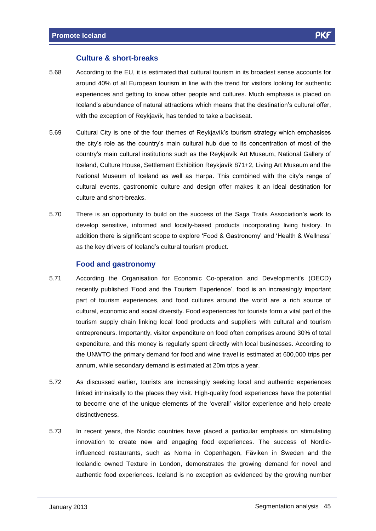#### **Culture & short-breaks**

- 5.68 According to the EU, it is estimated that cultural tourism in its broadest sense accounts for around 40% of all European tourism in line with the trend for visitors looking for authentic experiences and getting to know other people and cultures. Much emphasis is placed on Experiences and getting to know other people and cultures. Much emphasis is placed on<br>Iceland's abundance of natural attractions which means that the destination's cultural offer, Information and goining to the reader proper and candidates indentified<br>Iceland's abundance of natural attractions which means that the de-<br>with the exception of Reykjavík, has tended to take a backseat.
- with the exception of Reykjavík, has tended to take a backseat.<br>5.69 Cultural City is one of the four themes of Reykjavík's tourism strategy which emphasises Cultural City is one of the four themes of Reykjavík's tourism strategy which emphasises<br>the city's role as the country's main cultural hub due to its concentration of most of the the city's role as the country's main cultural hub due to its concentration of most of the country's main cultural institutions such as the Reykjavík Art Museum, National Gallery of Iceland, Culture House, Settlement Exhibition Reykjavík Art Museum, National Gallery of<br>Iceland, Culture House, Settlement Exhibition Reykjavík 871+2, Living Art Museum and the Iceland, Culture House, Settlement Exhibition Reykjavík 871+2, Living Art Museum and the<br>National Museum of Iceland as well as Harpa. This combined with the city's range of cultural events, gastronomic culture and design offer makes it an ideal destination for culture and short-breaks.
- 5.70 There is an opportunity to build on the success of the Saga Trails Associationís work to develop sensitive, informed and locally-based products incorporating living history. In develop sensitive, informed and locally-based products incorporating living history. In<br>addition there is significant scope to explore 'Food & Gastronomy' and 'Health & Wellness' as the key drivers in the key drivers of Icelandís cultural tourism product.<br>as the key drivers of Iceland's cultural tourism product.

#### **Food and gastronomy**

- 5.71 According the Organisation for Economic Co-operation and Developmentís (OECD) recently published 'Food and the Tourism Experience', food is an increasingly important part of tourism experiences, and food cultures around the world are a rich source of cultural, economic and social diversity. Food experiences for tourists form a vital part of the tourism supply chain linking local food products and suppliers with cultural and tourism entrepreneurs. Importantly, visitor expenditure on food often comprises around 30% of total expenditure, and this money is regularly spent directly with local businesses. According to the UNWTO the primary demand for food and wine travel is estimated at 600,000 trips per annum, while secondary demand is estimated at 20m trips a year.
- 5.72 As discussed earlier, tourists are increasingly seeking local and authentic experiences linked intrinsically to the places they visit. High-quality food experiences have the potential to become one of the unique elements of the 'overall' visitor experience and help create distinctiveness.
- 5.73 In recent years, the Nordic countries have placed a particular emphasis on stimulating innovation to create new and engaging food experiences. The success of Nordicinfluenced restaurants, such as Noma in Copenhagen, Fäviken in Sweden and the Icelandic owned Texture in London, demonstrates the growing demand for novel and authentic food experiences. Iceland is no exception as evidenced by the growing number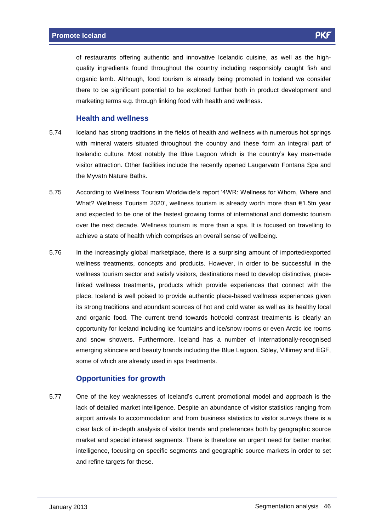of restaurants offering authentic and innovative Icelandic cuisine, as well as the high quality ingredients found throughout the country including responsibly caught fish and organic lamb. Although, food tourism is already being promoted in Iceland we consider there to be significant potential to be explored further both in product development and marketing terms e.g. through linking food with health and wellness.

#### **Health and wellness**

- 5.74 Iceland has strong traditions in the fields of health and wellness with numerous hot springs with mineral waters situated throughout the country and these form an integral part of Iceland the culture. Most notably the Blue Lagoon which is the country's key man-made<br>Icelandic culture. Most notably the Blue Lagoon which is the country's key man-made visitor attraction. Other facilities include the recently opened Laugarvatn Fontana Spa and the Myvatn Nature Baths.
- the Myvatn Nature Baths.<br>5.75 According to Wellness Tourism Worldwide's report '4WR: Wellness for Whom, Where and According to Wellness Tourism Worldwide's report '4WR: Wellness for Whom, Where and<br>What? Wellness Tourism 2020', wellness tourism is already worth more than €1.5tn year and expected to be one of the fastest growing forms of international and domestic tourism over the next decade. Wellness tourism is more than a spa. It is focused on travelling to achieve a state of health which comprises an overall sense of wellbeing.
- 5.76 In the increasingly global marketplace, there is a surprising amount of imported/exported wellness treatments, concepts and products. However, in order to be successful in the wellness tourism sector and satisfy visitors, destinations need to develop distinctive, placelinked wellness treatments, products which provide experiences that connect with the place. Iceland is well poised to provide authentic place-based wellness experiences given its strong traditions and abundant sources of hot and cold water as wellas its healthy local and organic food. The current trend towards hot/cold contrast treatments is clearly an opportunity for Iceland including ice fountains and ice/snow rooms oreven Arctic ice rooms and snow showers. Furthermore, Iceland has a number of internationally-recognised emerging skincare and beauty brands including the Blue Lagoon, Sóley, Villimey and EGF, some of which are already used in spa treatments.

#### **Opportunities for growth**

5.77 One of the key weaknesses of Icelandís current promotional model and approach is the lack of detailed market intelligence. Despite an abundance of visitor statistics ranging from airport arrivals to accommodation and from business statistics to visitor surveys there is a clear lack of in-depth analysis of visitor trends and preferences both by geographic source market and special interest segments. There is therefore an urgent need for better market intelligence, focusing on specific segments and geographic source markets in order to set and refine targets for these.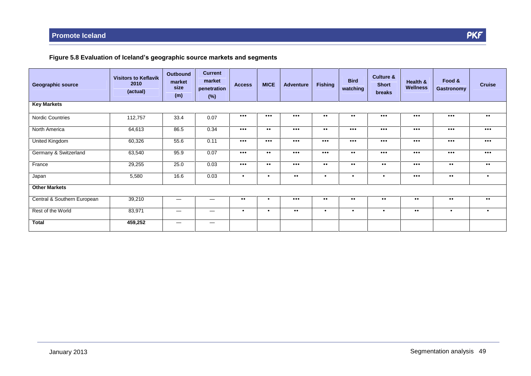#### **Figure 5.8 Evaluation of Icelandís geographic source markets and segments**

| <b>Geographic source</b>    | <b>Visitors to Keflavik</b><br>2010<br>(actual) | <b>Outbound</b><br>market<br>size<br>(m) | <b>Current</b><br>market<br>penetration<br>$(\%)$ | <b>Access</b>           | <b>MICE</b>             | <b>Adventure</b>        | <b>Fishing</b>          | <b>Bird</b><br>watching | <b>Culture &amp;</b><br><b>Short</b><br>breaks | Health &<br><b>Wellness</b> | Food &<br><b>Gastronomy</b> | <b>Cruise</b>           |
|-----------------------------|-------------------------------------------------|------------------------------------------|---------------------------------------------------|-------------------------|-------------------------|-------------------------|-------------------------|-------------------------|------------------------------------------------|-----------------------------|-----------------------------|-------------------------|
| <b>Key Markets</b>          |                                                 |                                          |                                                   |                         |                         |                         |                         |                         |                                                |                             |                             |                         |
| Nordic Countries            | 112,757                                         | 33.4                                     | 0.07                                              | $\bullet\bullet\bullet$ | $\bullet\bullet\bullet$ | $\bullet\bullet\bullet$ | $\bullet\bullet$        | $\bullet\bullet$        | $\bullet\bullet\bullet$                        | $\bullet\bullet\bullet$     | $\bullet\bullet\bullet$     | $\bullet\bullet$        |
| North America               | 64,613                                          | 86.5                                     | 0.34                                              | $\bullet\bullet\bullet$ | $\bullet\bullet$        | $\bullet\bullet\bullet$ | $\bullet\bullet$        | $\bullet\bullet\bullet$ | $\bullet\bullet\bullet$                        | $\bullet\bullet\bullet$     | $\bullet\bullet\bullet$     | $\bullet\bullet\bullet$ |
| <b>United Kingdom</b>       | 60,326                                          | 55.6                                     | 0.11                                              | $\bullet\bullet\bullet$ | $\bullet\bullet\bullet$ | $\bullet\bullet\bullet$ | $\bullet\bullet\bullet$ | $\bullet\bullet\bullet$ | $\bullet\bullet\bullet$                        | $\bullet\bullet\bullet$     | $\bullet\bullet\bullet$     | $\bullet\bullet\bullet$ |
| Germany & Switzerland       | 63,540                                          | 95.9                                     | 0.07                                              | $\bullet\bullet\bullet$ | $\bullet\bullet$        | $\bullet\bullet\bullet$ | $\bullet\bullet\bullet$ | $\bullet\bullet$        | $\bullet\bullet\bullet$                        | $\bullet\bullet\bullet$     | $\bullet\bullet\bullet$     | $\bullet\bullet\bullet$ |
| France                      | 29,255                                          | 25.0                                     | 0.03                                              | $\bullet\bullet\bullet$ | $\bullet\bullet$        | $\bullet\bullet\bullet$ | $\bullet\bullet$        | $\bullet\bullet$        | $\bullet\bullet$                               | $\bullet\bullet\bullet$     | $\bullet\bullet$            | $\bullet\bullet$        |
| Japan                       | 5,580                                           | 16.6                                     | 0.03                                              | $\bullet$               | $\bullet$               | $\bullet$ $\bullet$     | $\bullet$               | $\bullet$               | $\bullet$                                      | $\bullet\bullet\bullet$     | $\bullet\bullet$            | $\bullet$               |
| <b>Other Markets</b>        |                                                 |                                          |                                                   |                         |                         |                         |                         |                         |                                                |                             |                             |                         |
| Central & Southern European | 39,210                                          | —                                        |                                                   | $\bullet\bullet$        | $\bullet$               | $\bullet\bullet\bullet$ | $\bullet\bullet$        | $\bullet\bullet$        | $\bullet\bullet$                               | $\bullet\bullet$            | $\bullet\bullet$            | $\bullet\bullet$        |
| Rest of the World           | 83,971                                          | $\hspace{0.1mm}-\hspace{0.1mm}$          |                                                   | $\bullet$               | $\bullet$               | $\bullet$ $\bullet$     | $\bullet$               | $\bullet$               | $\bullet$                                      | $\bullet\bullet$            | $\bullet$                   | $\bullet$               |
| <b>Total</b>                | 459,252                                         | $\hspace{0.1mm}-\hspace{0.1mm}$          |                                                   |                         |                         |                         |                         |                         |                                                |                             |                             |                         |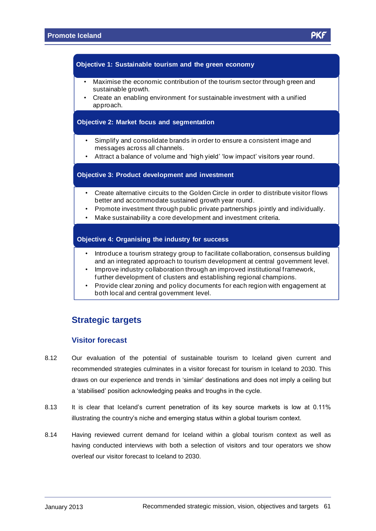#### **Objective 1: Sustainable tourism and the green economy** ï

- Maximise the economic contribution of the tourism sector through green and<br>sustainable growth.
- Create an enabling environment for sustainable investment with a unified approach.

#### ï**Objective 2: Market focus and segmentation**

- Simplify and consolidate brands in order to ensure a consistent image and messages across all channels. <sup>ï</sup>messages across all channels.<br>• Attract a balance of volume and 'high yield' 'low impact' visitors year round.
- 

#### **Objective 3: Product development and investment** ï

- Create alternative circuits to the Golden Circle in order to distribute visitor flows better and accommodate sustained growth year round.
- Promote investment through public private partnerships jointly and individually.
- Make sustainability a core development and investment criteria.

#### ï**Objective 4: Organising the industry for success**

- Introduce a tourism strategy group to facilitate collaboration, consensus building<br>and an integrated approach to tourism development at central government level.
- Improve industry collaboration through an improved institutional framework, further development of clusters and establishing regional champions. <sup>ï</sup>
- Provide clear zoning and policy documents for each region with engagement at both local and central government level.

#### **Strategic targets**

#### **Visitor forecast**

- 8.12 Our evaluation of the potential of sustainable tourism to Iceland given current and recommended strategies culminates in a visitor forecast for tourism in Iceland to 2030. This draws on our experience and trends in a visitor forecast for tourism in Iceland to 2030. This<br>draws on our experience and trends in 'similar' destinations and does not imply a ceiling but draws on our experience and trends in 'similar' destinations and does not imply a ceiling but a 'stabilised' position acknowledging peaks and troughs in the cycle.
- 8.13 It is clear that Iceland's current penetration of its key source markets is low at 0.11% illustrating the country's niche and emerging status within a global tourism context.
- 8.14 Having reviewed current demand for Iceland within a global tourism context as well as having conducted interviews with both a selection of visitors and tour operators we show overleaf our visitor forecast to Iceland to 2030.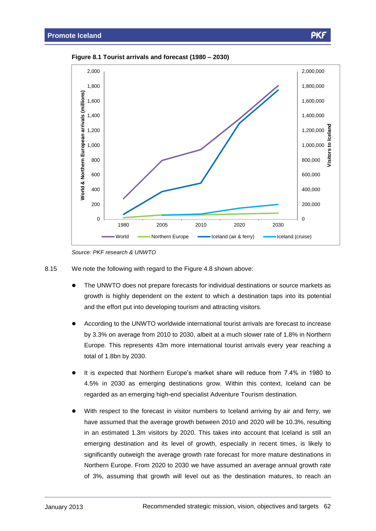



Source: PKF research & UNWTO

- 8.15 We note the following with regard to the Figure 4.8 shown above:
	- The UNWTO does not prepare forecasts for individual destinations or source markets as growth is highly dependent on the extent to which a destination taps into its potential and the effort put into developing tourism and attracting visitors.
	- According to the UNWTO worldwide international tourist arrivals are forecast to increase by 3.3% on average from 2010 to 2030, albeit at a much slower rate of 1.8% in Northern Europe. This represents 43m more international tourist arrivals every year reaching a total of 1.8bn by 2030.
	- It is expected that Northern Europe's market share will reduce from 7.4% in 1980 to 4.5% in 2030 as emerging destinations grow. Within this context, Iceland can be regarded as an emerging high-end specialist Adventure Tourism destination.
	- With respect to the forecast in visitor numbers to Iceland arriving by air and ferry, we have assumed that the average growth between 2010 and 2020 will be 10.3%, resulting in an estimated 1.3m visitors by 2020. This takes into account that Iceland is still an emerging destination and its level of growth, especially in recent times, is likely to significantly outweigh the average growth rate forecast for more mature destinations in Northern Europe. From 2020 to 2030 we have assumed an average annual growth rate of 3%, assuming that growth will level out as the destination matures, to reach an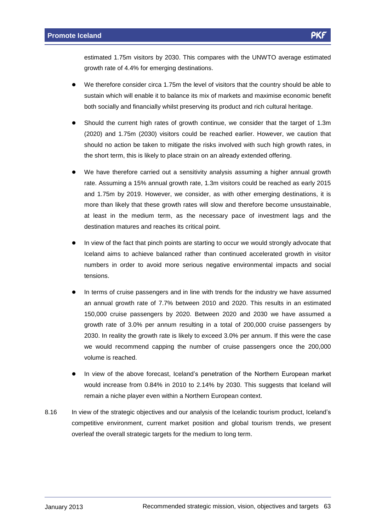estimated 1.75m visitors by 2030. This compares with the UNWTO average estimated growth rate of 4.4% for emerging destinations.

- We therefore consider circa 1.75m the level of visitors that the country should be able to sustain which will enable it to balance its mix of markets and maximise economic benefit both socially and financially whilst preserving its product and rich cultural heritage.
- Should the current high rates of growth continue, we consider that the target of 1.3m (2020) and 1.75m (2030) visitors could be reached earlier. However, we caution that should no action be taken to mitigate the risks involved with such high growth rates, in the short term, this is likely to place strain on an already extended offering.
- We have therefore carried out a sensitivity analysis assuming a higher annual growth rate. Assuming a 15% annual growth rate, 1.3m visitors could be reached as early 2015 and 1.75m by 2019. However, we consider, as with other emerging destinations, it is more than likely that these growth rates will slow and therefore become unsustainable, at least in the medium term, as the necessary pace of investment lags and the destination matures and reaches its critical point.
- In view of the fact that pinch points are starting to occur we would strongly advocate that Iceland aims to achieve balanced rather than continued accelerated growth in visitor numbers in order to avoid more serious negative environmental impacts and social tensions.
- In terms of cruise passengers and in line with trends for the industry we have assumed an annual growth rate of 7.7% between 2010 and 2020. This results in an estimated 150,000 cruise passengers by 2020. Between 2020 and 2030 we have assumed a growth rate of 3.0% per annum resulting in a total of 200,000 cruise passengers by 2030. In reality the growth rate is likely to exceed 3.0% per annum. If this were the case we would recommend capping the number of cruise passengers once the 200,000 volume is reached.
- In view of the above forecast, Iceland's penetration of the Northern European market would increase from 0.84% in 2010 to 2.14% by 2030. This suggests that Iceland will remain a niche player even within a Northern European context.
- 8.16 In view of the strategic objectives and our analysis of the Icelandic tourism product, Iceland's competitive environment, current market position and global tourism trends, we present overleaf the overall strategic targets for the medium to long term.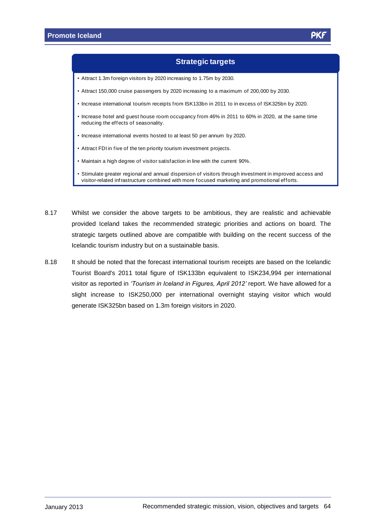#### **Strategic targets**

- Attract 1.3m foreign visitors by 2020 increasing to 1.75m by 2030. ï
- Attract 150,000 cruise passengers by 2020 increasing to a maximum of 200,000 by 2030. ï
- Increase international tourism receipts from ISK133bn in 2011 to in excess of ISK325bn by 2020.
- $\cdot$  Increase hotel and guest house room occupancy from 46% in 2011 to 60% in 2020, at the same time reducing the effects of seasonality.
- Increase international events hosted to at least 50 per annum by 2020.
- Attract FDI in five of the ten priority tourism investment projects. ï
- Maintain a high degree of visitor satisfaction in line with the current 90%.
- Stimulate greater regional and annual dispersion of visitors through investment in improved access and visitor-related infrastructure combined with more focused marketing and promotional efforts.
- 8.17 Whilst we consider the above targets to be ambitious, they are realistic and achievable provided Iceland takes the recommended strategic priorities and actions on board. The strategic targets outlined above are compatible with building on the recent success of the Icelandic tourism industry but on a sustainable basis.
- 8.18 It should be noted that the forecast international tourism receipts are based on the Icelandic Tourist Board's 2011 total figure of ISK133bn equivalent to ISK234,994 per international visitor as reported in *ëTourism in Iceland in Figures, April 2012í* report. We have allowed for <sup>a</sup> slight increase to ISK250,000 per international overnight staying visitor which would generate ISK325bn based on 1.3m foreign visitors in 2020.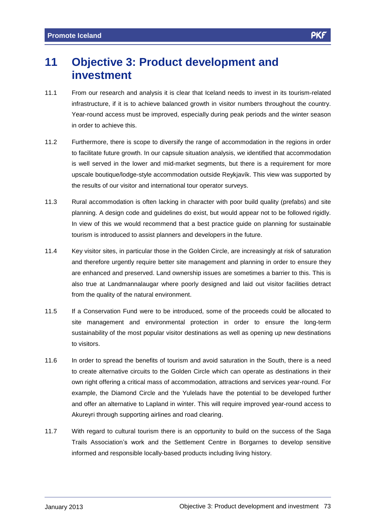## **11 Objective 3: Product development and investment**

- 11.1 From our research and analysis it is clear that Iceland needs to invest in its tourism-related infrastructure, if it is to achieve balanced growth in visitor numbers throughout the country. Year-round access must be improved, especially during peak periods and the winter season in order to achieve this.
- 11.2 Furthermore, there is scope to diversify the range of accommodation in the regions in order to facilitate future growth. In our capsule situation analysis, we identified that accommodation is well served in the lower and mid-market segments, but there is a requirement for more upscale boutique/lodge-style accommodation outside Reykjavík. This view was supported by<br>upscale boutique/lodge-style accommodation outside Reykjavík. This view was supported by the results of our visitor and international tour operator surveys.
- 11.3 Rural accommodation is often lacking in character with poor build quality (prefabs) and site planning. A design code and guidelines do exist, but would appear not to be followed rigidly. In view of this we would recommend that a best practice guide on planning for sustainable tourism is introduced to assist planners and developers in the future.
- 11.4 Key visitor sites, in particular those in the Golden Circle, are increasingly at risk of saturation and therefore urgently require better site management and planning in order to ensure they are enhanced and preserved. Land ownership issues are sometimes a barrier to this. This is also true at Landmannalaugar where poorly designed and laid out visitor facilities detract from the quality of the natural environment.
- 11.5 If a Conservation Fund were to be introduced, some of the proceeds could be allocated to site management and environmental protection in order to ensure the long-term sustainability of the most popular visitor destinations as well as opening up new destinations to visitors.
- 11.6 In order to spread the benefits of tourism and avoid saturation in the South, there is a need to create alternative circuits to the Golden Circle which can operate as destinations in their own right offering a critical mass of accommodation, attractions and services year-round. For example, the Diamond Circle and the Yulelads have the potential to be developed further and offer an alternative to Lapland in winter. This will require improved year-round access to Akureyri through supporting airlines and road clearing.
- 11.7 With regard to cultural tourism there is an opportunity to build on the success of the Saga With regard to cultural tourism there is an opportunity to build on the success of the Saga<br>Trails Association's work and the Settlement Centre in Borgarnes to develop sensitive informed and responsible locally-based products including living history.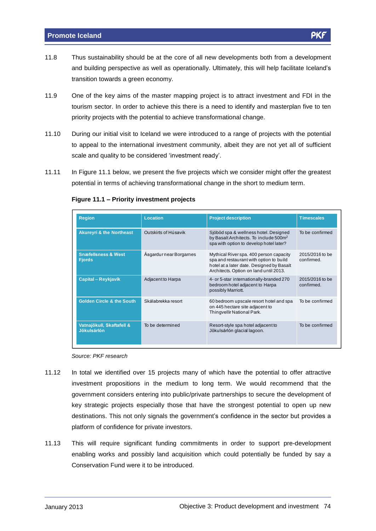- 11.8 Thus sustainability should be at the core of all new developments both from a development Thus sustainability should be at the core of all new developments both from a development<br>and building perspective as well as operationally. Ultimately, this will help facilitate Iceland's transition towards a green economy.
- 11.9 One of the key aims of the master mapping project is to attract investment and FDI in the tourism sector. In order to achieve this there is a need to identify and masterplan five to ten priority projects with the potential to achieve transformational change.
- 11.10 During our initial visit to Iceland we were introduced to a range of projects with the potential to appeal to the international investment community, albeit they are not yet all of sufficient scale and quality to be considered 'investment ready'.
- 11.11 In Figure 11.1 below, we present the five projects which we consider might offer the greatest potential in terms of achieving transformational change in the short to medium term. **Figure 11.1 <sup>ñ</sup> Priority investment projects**

| <b>Region</b>                                   | Location                | <b>Project description</b>                                                                                                                                                | <b>Timescales</b>             |
|-------------------------------------------------|-------------------------|---------------------------------------------------------------------------------------------------------------------------------------------------------------------------|-------------------------------|
| <b>Akureyri &amp; the Northeast</b>             | Outskirts of Húsavik    | Sjóböd spa & wellness hotel. Designed<br>by Basalt Architects. To include 500m <sup>2</sup><br>spa with option to develop hotel later?                                    | To be confirmed               |
| <b>Snæfellsness &amp; West</b><br><b>Fjords</b> | Asgardur near Borgarnes | Mythical River spa. 400 person capacity<br>spa and restaurant with option to build<br>hotel at a later date. Designed by Basalt<br>Architects. Option on land until 2013. | 2015/2016 to be<br>confirmed. |
| <b>Capital - Reykjavík</b>                      | Adjacent to Harpa       | 4- or 5-star internationally-branded 270<br>bedroom hotel adjacent to Harpa<br>possibly Marriott.                                                                         | 2015/2016 to be<br>confirmed. |
| <b>Golden Circle &amp; the South</b>            | Skálabrekka resort      | 60 bedroom upscale resort hotel and spa<br>on 445 hectare site adjacent to<br>Thingvellir National Park.                                                                  | To be confirmed               |
| Vatnajökull, Skaftafell &<br><b>Jökulsárlón</b> | To be determined        | Resort-style spa hotel adjacent to<br>Jökulsárlón glacial lagoon.                                                                                                         | To be confirmed               |

Source: PKF research

- 11.12 In total we identified over 15 projects many of which have the potential to offer attractive investment propositions in the medium to long term. We would recommend that the government considers entering into public/private partnerships to secure the development of key strategic projects especially those that have the strongest potential to open up new destinations. This not only signals the government's confidence in the sector but provides a<br>destinations. This not only signals the government's confidence in the sector but provides a platform of confidence for private investors.
- 11.13 This will require significant funding commitments in order to support pre-development enabling works and possibly land acquisition which could potentially be funded by say a Conservation Fund were it to be introduced.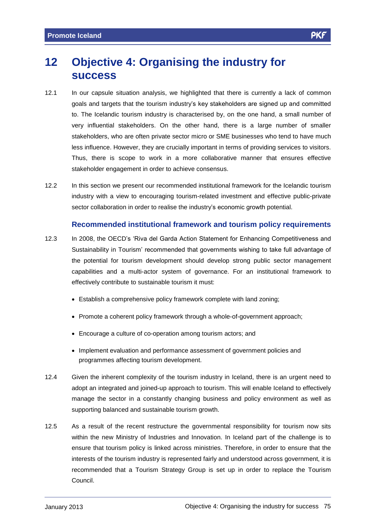## **12 Objective 4: Organising the industry for success**

- 12.1 In our capsule situation analysis, we highlighted that there is currently a lack of common goals and targets that the tourism industryís key stakeholders are signed up and committed to. The Icelandic tourism industry is characterised by, on the one hand, a small number of very influential stakeholders. On the other hand, there is a large number of smaller stakeholders, who are often private sector micro or SME businesses who tend to have much less influence. However, they are crucially important in terms of providing services to visitors. Thus, there is scope to work in a more collaborative manner that ensures effective stakeholder engagement in order to achieve consensus.
- 12.2 In this section we present our recommended institutional framework for the Icelandic tourism industry with a view to encouraging tourism-related investment and effective public-private sector collaboration in order to realise the industry's economic growth potential.

## **Recommended institutional framework and tourism policy requirements** Recommended institutional framework and tourism policy requirements<br>12.3 In 2008, the OECD's 'Riva del Garda Action Statement for Enhancing Competitiveness and

- In 2008, the OECD's 'Riva del Garda Action Statement for Enhancing Competitiveness and<br>Sustainability in Tourism' recommended that governments wishing to take full advantage of the potential for tourism development should develop strong public sector management capabilities and a multi-actor system of governance. For an institutional framework to effectively contribute to sustainable tourism it must:
	- Establish a comprehensive policy framework complete with land zoning;
	- Promote a coherent policy framework through a whole-of-government approach;
	- Encourage a culture of co-operation among tourism actors; and
	- Implement evaluation and performance assessment of government policies and programmes affecting tourism development.
- 12.4 Given the inherent complexity of the tourism industry in Iceland, there is an urgent need to adopt an integrated and joined-up approach to tourism. This will enable Iceland to effectively manage the sector in a constantly changing business and policy environment as well as supporting balanced and sustainable tourism growth.
- 12.5 As a result of the recent restructure the governmental responsibility for tourism now sits within the new Ministry of Industries and Innovation. In Iceland part of the challenge is to ensure that tourism policy is linked across ministries. Therefore, in order to ensure that the interests of the tourism industry is represented fairly and understood across government, it is recommended that a Tourism Strategy Group is set up in order to replace the Tourism Council.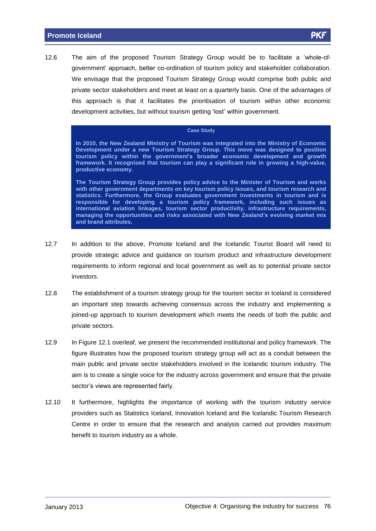12.6 The aim of the proposed Tourism Strategy Group would be to facilitate a 'whole-of-<br>12.6 The aim of the proposed Tourism Strategy Group would be to facilitate a 'whole-of-The aim of the proposed Tourism Strategy Group would be to facilitate a 'whole-of-<br>government' approach, better co-ordination of tourism policy and stakeholder collaboration. We envisage that the proposed Tourism Strategy Group would comprise both public and private sector stakeholders and meet at least on a quarterly basis. One of the advantages of this approach is that it facilitates the prioritisation of tourism within other economic development activities, but without tourism getting 'lost' within government.

#### **Case Study**

**In 2010, the New Zealand Ministry of Tourism was integrated into the Ministry of Economic Development under a new Tourism Strategy Group. This move was designed to position** In 2010, the New Zealand Ministry of Tourism was integrated into the Ministry of Economic<br>Development under a new Tourism Strategy Group. This move was designed to position<br>tourism policy within the government's broad **framework. It recognised that tourism can play a significant role in growing a high-value, productive economy.**

**The Tourism Strategy Group provides policy advice to the Minister of Tourism and works with other government departments on key tourism policy issues, and tourism research and statistics. Furthermore, the Group evaluates government investments in tourism and is responsible for developing a tourism policy framework, including such issues as international aviation linkages, tourism sector productivity, infrastructure requirements, managing here opportunities consider in the consideration consider is an about the consider the considered international aviation linkages, tourism sector productivity, infrastructure requirements, managing the op and brand attributes.**

- 12.7 In addition to the above, Promote Iceland and the Icelandic Tourist Board will need to provide strategic advice and guidance on tourism product and infrastructure development requirements to inform regional and localgovernment as well as to potential private sector investors.
- 12.8 The establishment of a tourism strategy group for the tourism sector in Iceland is considered an important step towards achieving consensus across the industry and implementing a joined-up approach to tourism development which meets the needs of both the public and private sectors.
- 12.9 In Figure 12.1 overleaf, we present the recommended institutional and policy framework. The figure illustrates how the proposed tourism strategy group will act as a conduit between the main public and private sector stakeholders involved in the Icelandic tourism industry. The aim is to create a single voice for the industry across government and ensure that the private sector's views and proced constructions<br>sector's views are represented fairly.
- 12.10 It furthermore, highlights the importance of working with the tourism industry service providers such as Statistics Iceland, Innovation Iceland and the Icelandic Tourism Research Centre in order to ensure that the research and analysis carried out provides maximum benefit to tourism industry as a whole.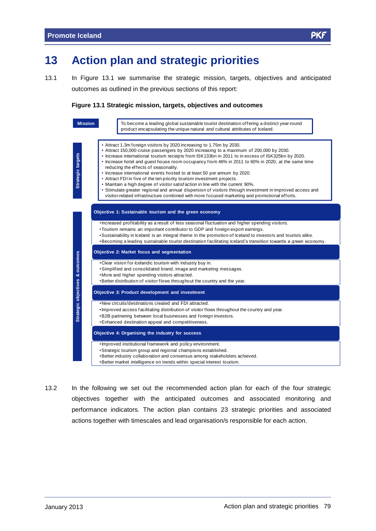13.1 In Figure 13.1 we summarise the strategic mission, targets, objectives and anticipated outcomes as outlined in the previous sections of this report:

#### **Figure 13.1 Strategic mission, targets, objectives and outcomes**



13.2 In the following we set out the recommended action plan foreach of the four strategic objectives together with the anticipated outcomes and associated monitoring and performance indicators. The action plan contains 23 strategic priorities and associated actions together with timescales and lead organisation/s responsible for each action.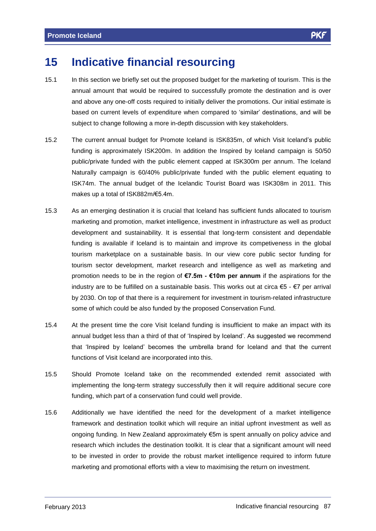## **15 Indicative financial resourcing**

- 15.1 In this section we briefly setout the proposed budget for the marketing of tourism. This is the annual amount that would be required to successfully promote the destination and is over and above any one-off costs required to initially deliver the promotions. Our initial estimate is based on current levels of expenditure when compared to 'similar' destinations, and will be subject to change following a more in-depth discussion with key stakeholders.
- 15.2 The current annual budget for Promote Iceland is ISK835m, of which Visit Icelandís public funding is approximately ISK200m. In addition the Inspired by Iceland campaign is 50/50 public/private funded with the public element capped at ISK300m per annum. The Iceland Naturally campaign is 60/40% public/private funded with the public element equating to ISK74m. The annual budget of the Icelandic Tourist Board was ISK308m in 2011. This makes up a total of ISK882m/€5.4m.<br>makes up a total of ISK882m/€5.4m.
- 15.3 As an emerging destination it is crucial that Iceland has sufficient funds allocated to tourism marketing and promotion, market intelligence, investment in infrastructure as well as product development and sustainability. It is essential that long-term consistent and dependable funding is available if Iceland is to maintain and improve its competiveness in the global tourism marketplace on a sustainable basis. In our view core public sector funding for tourism sector development, market research and intelligence as well as marketing and promotion needs to be in the region of €7.5m **-** €10m per annum if the aspirations for the promotion needs to be in the region of €7.5m **-** €10m per annum if the aspirations for the promotion needs to be in the region of  $\epsilon$ 7.5m -  $\epsilon$ 10m per annum if the aspirations for the industry are to be fulfilled on a sustainable basis. This works out at circa  $\epsilon$ 5 -  $\epsilon$ 7 per arrival by 2030. On top of that there is a requirement for investment in tourism-related infrastructure some of which could be also funded by the proposed Conservation Fund.
- 15.4 At the present time the core Visit Iceland funding is insufficient to make an impact with its At the present time the core Visit Iceland funding is insufficient to make an impact with its<br>annual budget less than a third of that of 'Inspired by Iceland'. As suggested we recommend that the present and the series that of that of 'Inspired by Iceland'. As suggested we recommend<br>that 'Inspired by Iceland' becomes the umbrella brand for Iceland and that the current functions of Visit Iceland are incorporated into this.
- 15.5 Should Promote Iceland take on the recommended extended remit associated with implementing the long-term strategy successfully then it will require additional secure core funding, which part of a conservation fund could well provide.
- 15.6 Additionally we have identified the need for the development of a market intelligence framework and destination toolkit which will require an initial upfront investment as well as ongoing funding. In New Zealand approximately €5m is spent annually on policy advice and research which includes the destination toolkit. It is clear that a significant amount will need to be invested in order to provide the robust market intelligence required to inform future marketing and promotional efforts with a view to maximising the return on investment.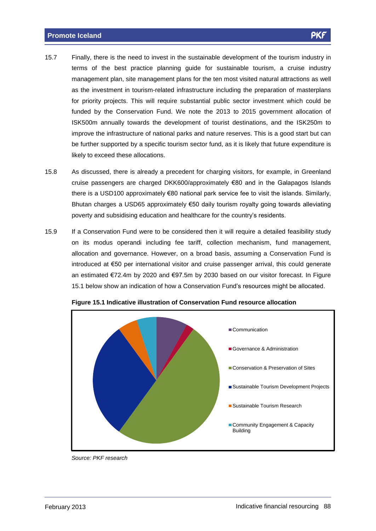- 15.7 Finally, there is the need to invest in the sustainable development of the tourism industry in terms of the best practice planning guide for sustainable tourism, a cruise industry management plan, site management plans for the ten most visited natural attractions as well as the investment in tourism-related infrastructure including the preparation of masterplans for priority projects. This will require substantial public sector investment which could be funded by the Conservation Fund. We note the 2013 to 2015 government allocation of ISK500m annually towards the development of tourist destinations, and the ISK250m to improve the infrastructure of national parks and nature reserves. This is a good start but can be further supported by a specific tourism sector fund, as it is likely that future expenditure is likely to exceed these allocations.
- 15.8 As discussed, there is already a precedent for charging visitors, for example, in Greenland cruise passengers are charged DKK600/approximately  $\epsilon$ 80 and in the Galapagos Islands there is a USD100 approximately  $\epsilon$ 80 national park service fee to visit the islands. Similarly, Brace paceingers are enarged entirecterpprominately accurating to enargergies related.<br>there is a USD100 approximately €80 national park service fee to visit the islands. Similarly,<br>Bhutan charges a USD65 approximately €5 poverty and subsidising education and healthcare for the country's residents.<br>poverty and subsidising education and healthcare for the country's residents.
- 15.9 If a Conservation Fund were to be considered then it will require a detailed feasibility study on its modus operandi including fee tariff, collection mechanism, fund management, allocation and governance. However, on a broad basis, assuming a Conservation Fund is introduced at €50 per international visitor and cruise passenger arrival, this could generate<br>introduced at €50 per international visitor and cruise passenger arrival, this could generate introduced at  $€50$  per international visitor and cruise passenger arrival, this could generate an estimated  $\epsilon$ 72.4m by 2020 and  $\epsilon$ 97.5m by 2030 based on our visitor forecast. In Figure 15.1 below show an indication of how a Conservation Fund's resources might be allocated.



**Figure 15.1 Indicative illustration of Conservation Fund resource allocation**

Source: PKF research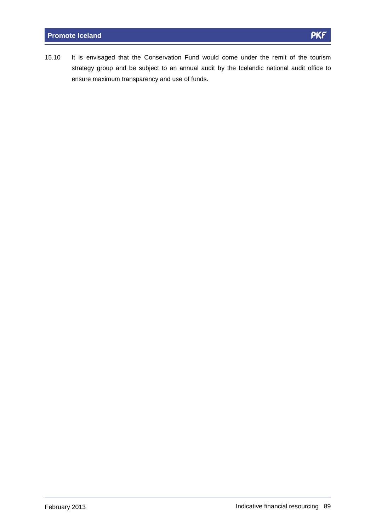15.10 It is envisaged that the Conservation Fund would come under the remit of the tourism strategy group and be subject to an annual audit by the Icelandic national audit office to ensure maximum transparency and use of funds.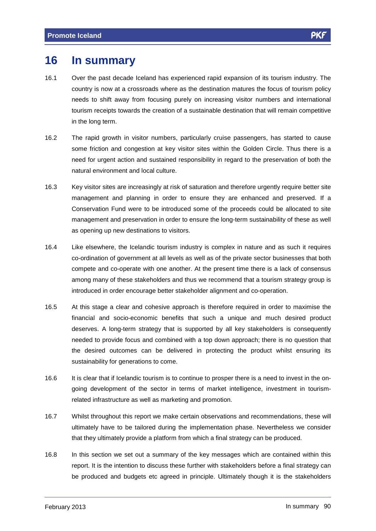## **16 In summary**

- 16.1 Over the past decade Iceland has experienced rapid expansion of its tourism industry. The country is now at a crossroads where as the destination matures the focus of tourism policy needs to shift away from focusing purely on increasing visitor numbers and international tourism receipts towards the creation of a sustainable destination that will remain competitive in the long term.
- 16.2 The rapid growth in visitor numbers, particularly cruise passengers, has started to cause some friction and congestion at key visitor sites within the Golden Circle. Thus there is a need for urgent action and sustained responsibility in regard to the preservation of both the natural environment and local culture.
- 16.3 Key visitor sites are increasingly at risk of saturation and therefore urgently require better site management and planning in order to ensure they are enhanced and preserved. If a Conservation Fund were to be introduced some of the proceeds could be allocated to site management and preservation in order to ensure the long-term sustainability of these as well as opening up new destinations to visitors.
- 16.4 Like elsewhere, the Icelandic tourism industry is complex in nature and as such it requires co-ordination of government at all levels as wellas of the private sector businesses that both compete and co-operate with one another. At the present time there is a lack of consensus among many of these stakeholders and thus we recommend that a tourism strategy group is introduced in order encourage better stakeholder alignment and co-operation.
- 16.5 At this stage a clear and cohesive approach is therefore required in order to maximise the financial and socio-economic benefits that such a unique and much desired product deserves. A long-term strategy that is supported by all key stakeholders is consequently needed to provide focus and combined with a top down approach; there is no question that the desired outcomes can be delivered in protecting the product whilst ensuring its sustainability for generations to come.
- 16.6 It is clear that if Icelandic tourism is to continue to prosper there is a need to invest in the on going development of the sector in terms of market intelligence, investment in tourismrelated infrastructure as well as marketing and promotion.
- 16.7 Whilst throughout this report we make certain observations and recommendations, these will ultimately have to be tailored during the implementation phase. Nevertheless we consider that they ultimately provide a platform from which a final strategy can be produced.
- 16.8 In this section we set out a summary of the key messages which are contained within this report. It is the intention to discuss these further with stakeholders before a final strategy can be produced and budgets etc agreed in principle. Ultimately though it is the stakeholders